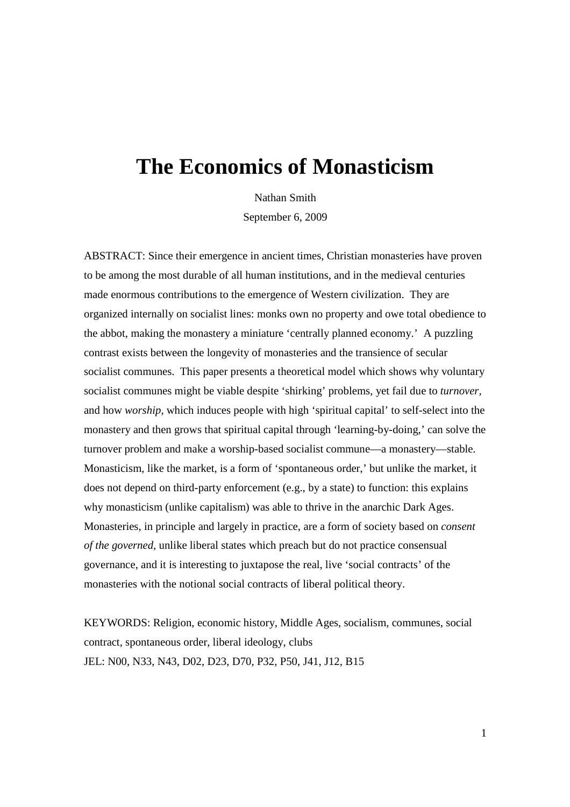# **The Economics of Monasticism**

Nathan Smith

September 6, 2009

ABSTRACT: Since their emergence in ancient times, Christian monasteries have proven to be among the most durable of all human institutions, and in the medieval centuries made enormous contributions to the emergence of Western civilization. They are organized internally on socialist lines: monks own no property and owe total obedience to the abbot, making the monastery a miniature 'centrally planned economy.' A puzzling contrast exists between the longevity of monasteries and the transience of secular socialist communes. This paper presents a theoretical model which shows why voluntary socialist communes might be viable despite 'shirking' problems, yet fail due to *turnover,* and how *worship*, which induces people with high 'spiritual capital' to self-select into the monastery and then grows that spiritual capital through 'learning-by-doing,' can solve the turnover problem and make a worship-based socialist commune—a monastery—stable. Monasticism, like the market, is a form of 'spontaneous order,' but unlike the market, it does not depend on third-party enforcement (e.g., by a state) to function: this explains why monasticism (unlike capitalism) was able to thrive in the anarchic Dark Ages. Monasteries, in principle and largely in practice, are a form of society based on *consent of the governed,* unlike liberal states which preach but do not practice consensual governance, and it is interesting to juxtapose the real, live 'social contracts' of the monasteries with the notional social contracts of liberal political theory.

KEYWORDS: Religion, economic history, Middle Ages, socialism, communes, social contract, spontaneous order, liberal ideology, clubs JEL: N00, N33, N43, D02, D23, D70, P32, P50, J41, J12, B15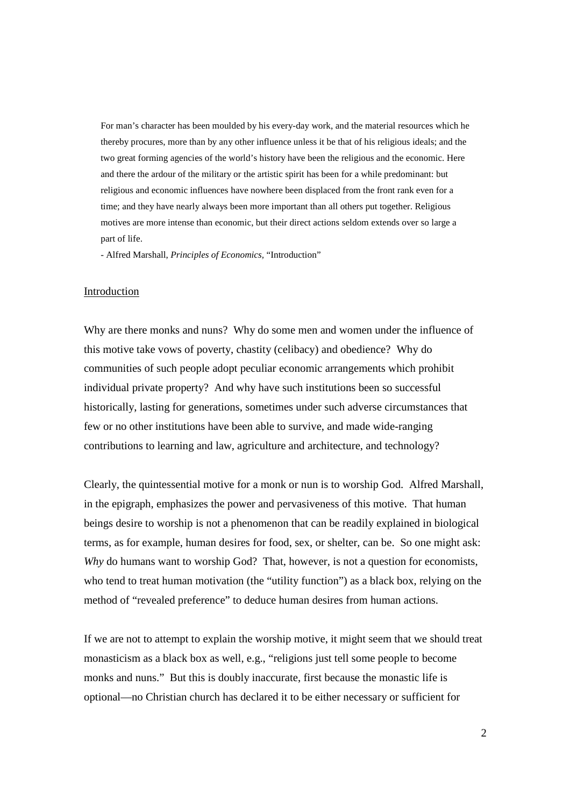For man's character has been moulded by his every-day work, and the material resources which he thereby procures, more than by any other influence unless it be that of his religious ideals; and the two great forming agencies of the world's history have been the religious and the economic. Here and there the ardour of the military or the artistic spirit has been for a while predominant: but religious and economic influences have nowhere been displaced from the front rank even for a time; and they have nearly always been more important than all others put together. Religious motives are more intense than economic, but their direct actions seldom extends over so large a part of life.

- Alfred Marshall, *Principles of Economics,* "Introduction"

# Introduction

Why are there monks and nuns? Why do some men and women under the influence of this motive take vows of poverty, chastity (celibacy) and obedience? Why do communities of such people adopt peculiar economic arrangements which prohibit individual private property? And why have such institutions been so successful historically, lasting for generations, sometimes under such adverse circumstances that few or no other institutions have been able to survive, and made wide-ranging contributions to learning and law, agriculture and architecture, and technology?

Clearly, the quintessential motive for a monk or nun is to worship God. Alfred Marshall, in the epigraph, emphasizes the power and pervasiveness of this motive. That human beings desire to worship is not a phenomenon that can be readily explained in biological terms, as for example, human desires for food, sex, or shelter, can be. So one might ask: *Why* do humans want to worship God? That, however, is not a question for economists, who tend to treat human motivation (the "utility function") as a black box, relying on the method of "revealed preference" to deduce human desires from human actions.

If we are not to attempt to explain the worship motive, it might seem that we should treat monasticism as a black box as well, e.g., "religions just tell some people to become monks and nuns." But this is doubly inaccurate, first because the monastic life is optional—no Christian church has declared it to be either necessary or sufficient for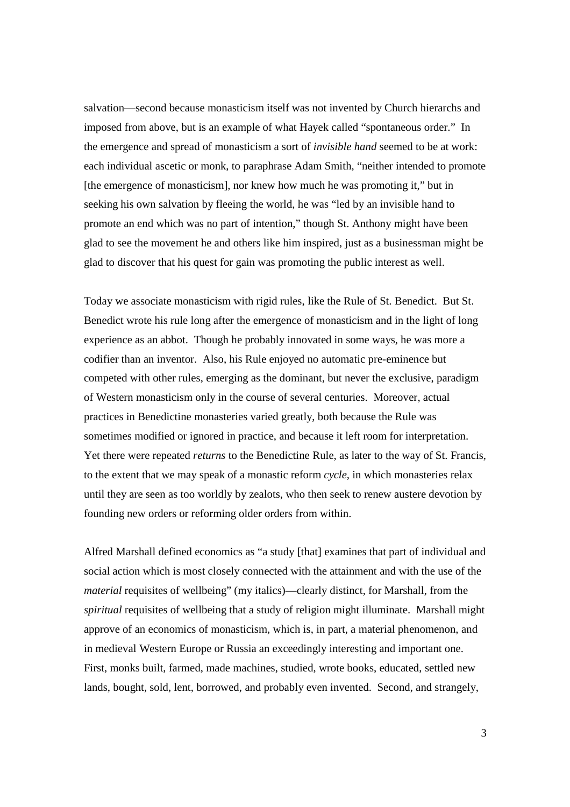salvation—second because monasticism itself was not invented by Church hierarchs and imposed from above, but is an example of what Hayek called "spontaneous order." In the emergence and spread of monasticism a sort of *invisible hand* seemed to be at work: each individual ascetic or monk, to paraphrase Adam Smith, "neither intended to promote [the emergence of monasticism], nor knew how much he was promoting it," but in seeking his own salvation by fleeing the world, he was "led by an invisible hand to promote an end which was no part of intention," though St. Anthony might have been glad to see the movement he and others like him inspired, just as a businessman might be glad to discover that his quest for gain was promoting the public interest as well.

Today we associate monasticism with rigid rules, like the Rule of St. Benedict. But St. Benedict wrote his rule long after the emergence of monasticism and in the light of long experience as an abbot. Though he probably innovated in some ways, he was more a codifier than an inventor. Also, his Rule enjoyed no automatic pre-eminence but competed with other rules, emerging as the dominant, but never the exclusive, paradigm of Western monasticism only in the course of several centuries. Moreover, actual practices in Benedictine monasteries varied greatly, both because the Rule was sometimes modified or ignored in practice, and because it left room for interpretation. Yet there were repeated *returns* to the Benedictine Rule, as later to the way of St. Francis, to the extent that we may speak of a monastic reform *cycle,* in which monasteries relax until they are seen as too worldly by zealots, who then seek to renew austere devotion by founding new orders or reforming older orders from within.

Alfred Marshall defined economics as "a study [that] examines that part of individual and social action which is most closely connected with the attainment and with the use of the *material* requisites of wellbeing" (my italics)—clearly distinct, for Marshall, from the *spiritual* requisites of wellbeing that a study of religion might illuminate. Marshall might approve of an economics of monasticism, which is, in part, a material phenomenon, and in medieval Western Europe or Russia an exceedingly interesting and important one. First, monks built, farmed, made machines, studied, wrote books, educated, settled new lands, bought, sold, lent, borrowed, and probably even invented. Second, and strangely,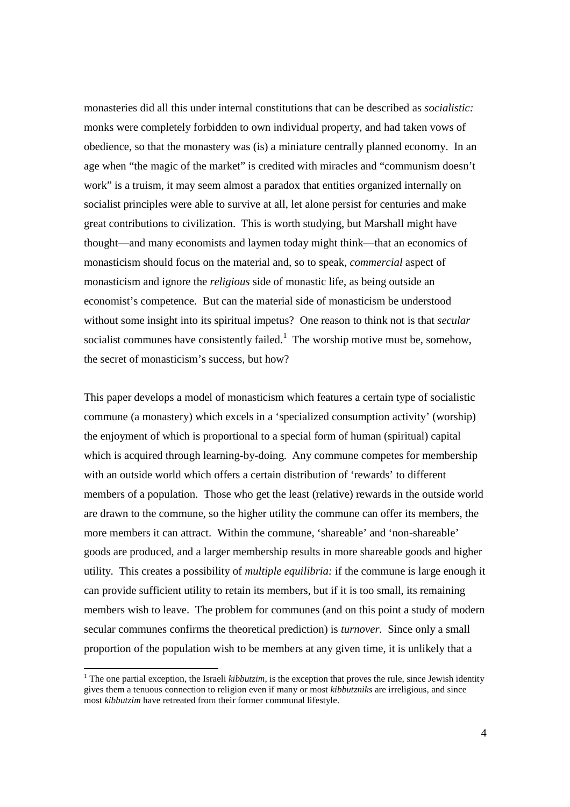monasteries did all this under internal constitutions that can be described as *socialistic:* monks were completely forbidden to own individual property, and had taken vows of obedience, so that the monastery was (is) a miniature centrally planned economy. In an age when "the magic of the market" is credited with miracles and "communism doesn't work" is a truism, it may seem almost a paradox that entities organized internally on socialist principles were able to survive at all, let alone persist for centuries and make great contributions to civilization. This is worth studying, but Marshall might have thought—and many economists and laymen today might think—that an economics of monasticism should focus on the material and, so to speak, *commercial* aspect of monasticism and ignore the *religious* side of monastic life, as being outside an economist's competence. But can the material side of monasticism be understood without some insight into its spiritual impetus? One reason to think not is that *secular* socialist communes have consistently failed.<sup>1</sup> The worship motive must be, somehow, the secret of monasticism's success, but how?

This paper develops a model of monasticism which features a certain type of socialistic commune (a monastery) which excels in a 'specialized consumption activity' (worship) the enjoyment of which is proportional to a special form of human (spiritual) capital which is acquired through learning-by-doing. Any commune competes for membership with an outside world which offers a certain distribution of 'rewards' to different members of a population. Those who get the least (relative) rewards in the outside world are drawn to the commune, so the higher utility the commune can offer its members, the more members it can attract. Within the commune, 'shareable' and 'non-shareable' goods are produced, and a larger membership results in more shareable goods and higher utility. This creates a possibility of *multiple equilibria:* if the commune is large enough it can provide sufficient utility to retain its members, but if it is too small, its remaining members wish to leave. The problem for communes (and on this point a study of modern secular communes confirms the theoretical prediction) is *turnover.* Since only a small proportion of the population wish to be members at any given time, it is unlikely that a

-

<sup>&</sup>lt;sup>1</sup> The one partial exception, the Israeli *kibbutzim*, is the exception that proves the rule, since Jewish identity gives them a tenuous connection to religion even if many or most *kibbutzniks* are irreligious, and since most *kibbutzim* have retreated from their former communal lifestyle.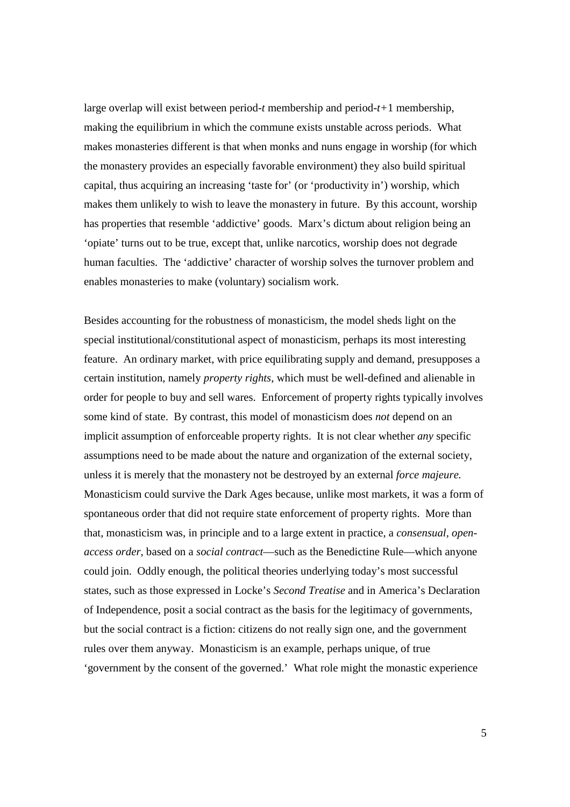large overlap will exist between period-*t* membership and period-*t+*1 membership, making the equilibrium in which the commune exists unstable across periods. What makes monasteries different is that when monks and nuns engage in worship (for which the monastery provides an especially favorable environment) they also build spiritual capital, thus acquiring an increasing 'taste for' (or 'productivity in') worship, which makes them unlikely to wish to leave the monastery in future. By this account, worship has properties that resemble 'addictive' goods. Marx's dictum about religion being an 'opiate' turns out to be true, except that, unlike narcotics, worship does not degrade human faculties. The 'addictive' character of worship solves the turnover problem and enables monasteries to make (voluntary) socialism work.

Besides accounting for the robustness of monasticism, the model sheds light on the special institutional/constitutional aspect of monasticism, perhaps its most interesting feature. An ordinary market, with price equilibrating supply and demand, presupposes a certain institution, namely *property rights,* which must be well-defined and alienable in order for people to buy and sell wares. Enforcement of property rights typically involves some kind of state. By contrast, this model of monasticism does *not* depend on an implicit assumption of enforceable property rights. It is not clear whether *any* specific assumptions need to be made about the nature and organization of the external society, unless it is merely that the monastery not be destroyed by an external *force majeure.* Monasticism could survive the Dark Ages because, unlike most markets, it was a form of spontaneous order that did not require state enforcement of property rights. More than that, monasticism was, in principle and to a large extent in practice, a *consensual, openaccess order,* based on a *social contract*—such as the Benedictine Rule—which anyone could join. Oddly enough, the political theories underlying today's most successful states, such as those expressed in Locke's *Second Treatise* and in America's Declaration of Independence, posit a social contract as the basis for the legitimacy of governments, but the social contract is a fiction: citizens do not really sign one, and the government rules over them anyway. Monasticism is an example, perhaps unique, of true 'government by the consent of the governed.' What role might the monastic experience

5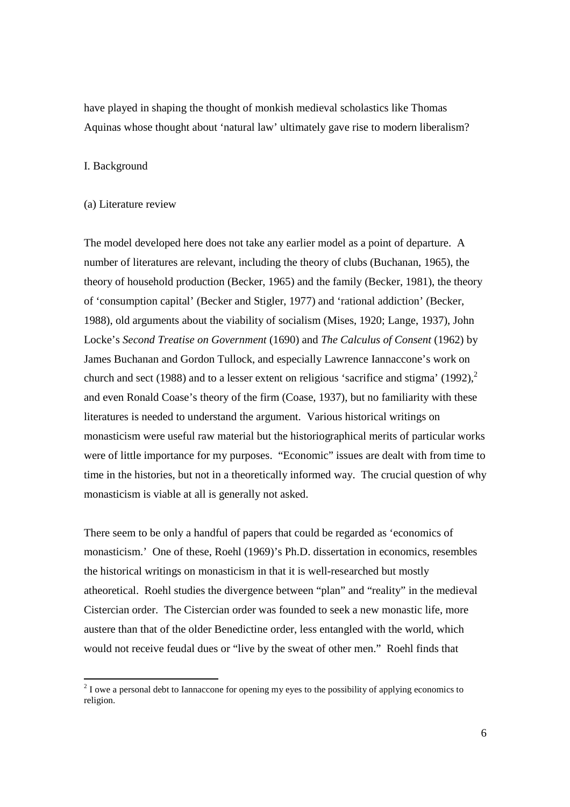have played in shaping the thought of monkish medieval scholastics like Thomas Aquinas whose thought about 'natural law' ultimately gave rise to modern liberalism?

# I. Background

#### (a) Literature review

The model developed here does not take any earlier model as a point of departure. A number of literatures are relevant, including the theory of clubs (Buchanan, 1965), the theory of household production (Becker, 1965) and the family (Becker, 1981), the theory of 'consumption capital' (Becker and Stigler, 1977) and 'rational addiction' (Becker, 1988), old arguments about the viability of socialism (Mises, 1920; Lange, 1937), John Locke's *Second Treatise on Government* (1690) and *The Calculus of Consent* (1962) by James Buchanan and Gordon Tullock, and especially Lawrence Iannaccone's work on church and sect (1988) and to a lesser extent on religious 'sacrifice and stigma' (1992), $2$ and even Ronald Coase's theory of the firm (Coase, 1937), but no familiarity with these literatures is needed to understand the argument. Various historical writings on monasticism were useful raw material but the historiographical merits of particular works were of little importance for my purposes. "Economic" issues are dealt with from time to time in the histories, but not in a theoretically informed way. The crucial question of why monasticism is viable at all is generally not asked.

There seem to be only a handful of papers that could be regarded as 'economics of monasticism.' One of these, Roehl (1969)'s Ph.D. dissertation in economics, resembles the historical writings on monasticism in that it is well-researched but mostly atheoretical. Roehl studies the divergence between "plan" and "reality" in the medieval Cistercian order. The Cistercian order was founded to seek a new monastic life, more austere than that of the older Benedictine order, less entangled with the world, which would not receive feudal dues or "live by the sweat of other men." Roehl finds that

<sup>&</sup>lt;sup>2</sup> I owe a personal debt to Iannaccone for opening my eyes to the possibility of applying economics to <sup>2</sup> religion.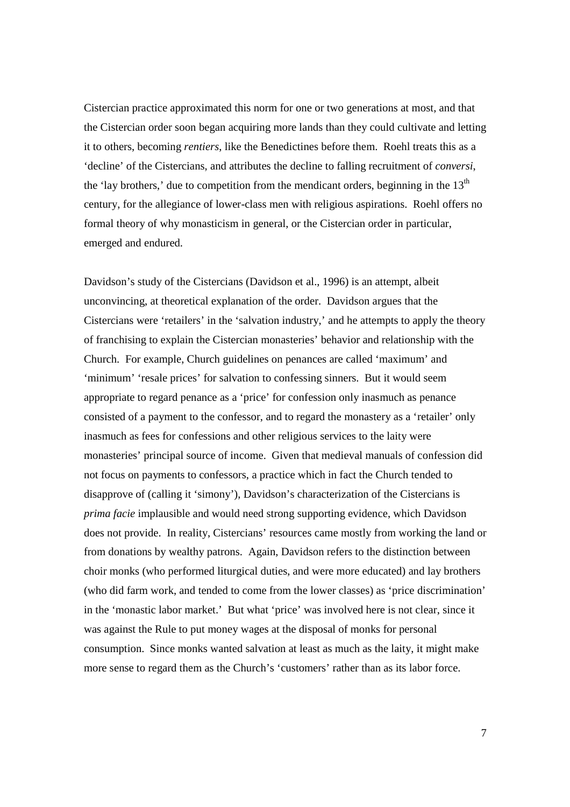Cistercian practice approximated this norm for one or two generations at most, and that the Cistercian order soon began acquiring more lands than they could cultivate and letting it to others, becoming *rentiers*, like the Benedictines before them. Roehl treats this as a 'decline' of the Cistercians, and attributes the decline to falling recruitment of *conversi*, the 'lay brothers,' due to competition from the mendicant orders, beginning in the  $13<sup>th</sup>$ century, for the allegiance of lower-class men with religious aspirations. Roehl offers no formal theory of why monasticism in general, or the Cistercian order in particular, emerged and endured.

Davidson's study of the Cistercians (Davidson et al., 1996) is an attempt, albeit unconvincing, at theoretical explanation of the order. Davidson argues that the Cistercians were 'retailers' in the 'salvation industry,' and he attempts to apply the theory of franchising to explain the Cistercian monasteries' behavior and relationship with the Church. For example, Church guidelines on penances are called 'maximum' and 'minimum' 'resale prices' for salvation to confessing sinners. But it would seem appropriate to regard penance as a 'price' for confession only inasmuch as penance consisted of a payment to the confessor, and to regard the monastery as a 'retailer' only inasmuch as fees for confessions and other religious services to the laity were monasteries' principal source of income. Given that medieval manuals of confession did not focus on payments to confessors, a practice which in fact the Church tended to disapprove of (calling it 'simony'), Davidson's characterization of the Cistercians is *prima facie* implausible and would need strong supporting evidence, which Davidson does not provide. In reality, Cistercians' resources came mostly from working the land or from donations by wealthy patrons. Again, Davidson refers to the distinction between choir monks (who performed liturgical duties, and were more educated) and lay brothers (who did farm work, and tended to come from the lower classes) as 'price discrimination' in the 'monastic labor market.' But what 'price' was involved here is not clear, since it was against the Rule to put money wages at the disposal of monks for personal consumption. Since monks wanted salvation at least as much as the laity, it might make more sense to regard them as the Church's 'customers' rather than as its labor force.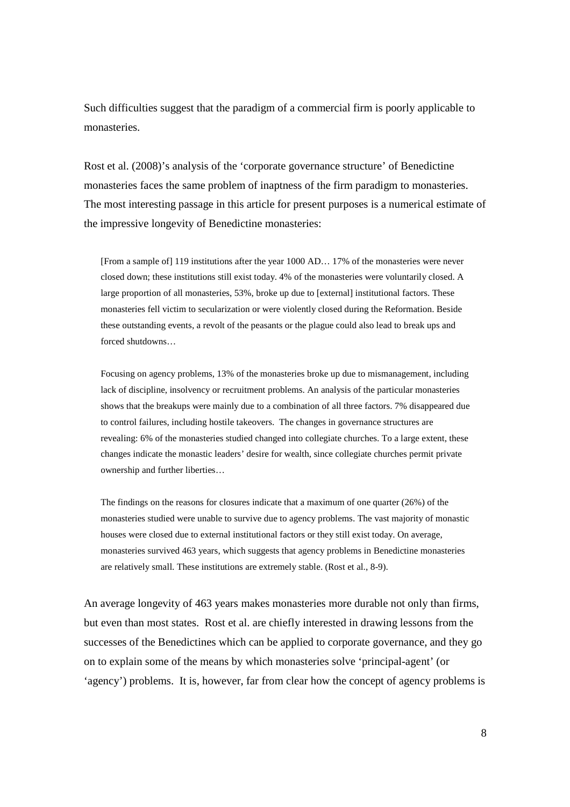Such difficulties suggest that the paradigm of a commercial firm is poorly applicable to monasteries.

Rost et al. (2008)'s analysis of the 'corporate governance structure' of Benedictine monasteries faces the same problem of inaptness of the firm paradigm to monasteries. The most interesting passage in this article for present purposes is a numerical estimate of the impressive longevity of Benedictine monasteries:

[From a sample of] 119 institutions after the year 1000 AD… 17% of the monasteries were never closed down; these institutions still exist today. 4% of the monasteries were voluntarily closed. A large proportion of all monasteries, 53%, broke up due to [external] institutional factors. These monasteries fell victim to secularization or were violently closed during the Reformation. Beside these outstanding events, a revolt of the peasants or the plague could also lead to break ups and forced shutdowns…

Focusing on agency problems, 13% of the monasteries broke up due to mismanagement, including lack of discipline, insolvency or recruitment problems. An analysis of the particular monasteries shows that the breakups were mainly due to a combination of all three factors. 7% disappeared due to control failures, including hostile takeovers. The changes in governance structures are revealing: 6% of the monasteries studied changed into collegiate churches. To a large extent, these changes indicate the monastic leaders' desire for wealth, since collegiate churches permit private ownership and further liberties…

The findings on the reasons for closures indicate that a maximum of one quarter (26%) of the monasteries studied were unable to survive due to agency problems. The vast majority of monastic houses were closed due to external institutional factors or they still exist today. On average, monasteries survived 463 years, which suggests that agency problems in Benedictine monasteries are relatively small. These institutions are extremely stable. (Rost et al., 8-9).

An average longevity of 463 years makes monasteries more durable not only than firms, but even than most states. Rost et al. are chiefly interested in drawing lessons from the successes of the Benedictines which can be applied to corporate governance, and they go on to explain some of the means by which monasteries solve 'principal-agent' (or 'agency') problems. It is, however, far from clear how the concept of agency problems is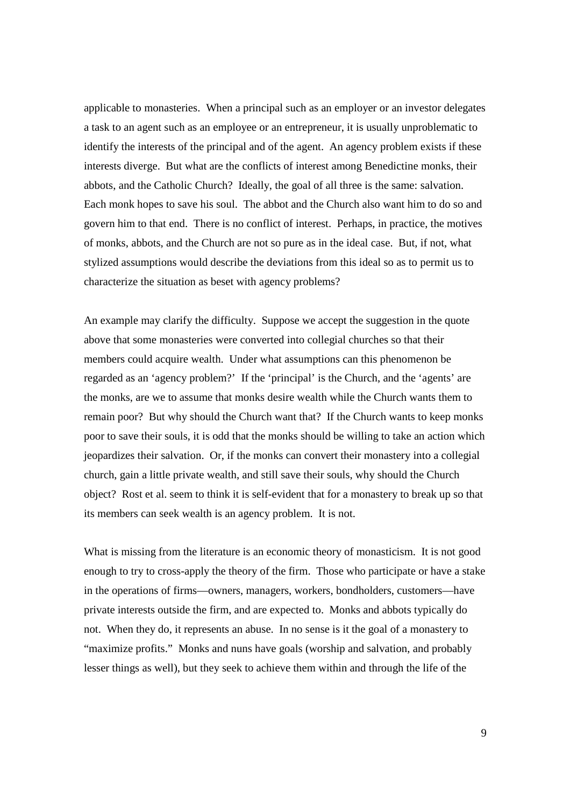applicable to monasteries. When a principal such as an employer or an investor delegates a task to an agent such as an employee or an entrepreneur, it is usually unproblematic to identify the interests of the principal and of the agent. An agency problem exists if these interests diverge. But what are the conflicts of interest among Benedictine monks, their abbots, and the Catholic Church? Ideally, the goal of all three is the same: salvation. Each monk hopes to save his soul. The abbot and the Church also want him to do so and govern him to that end. There is no conflict of interest. Perhaps, in practice, the motives of monks, abbots, and the Church are not so pure as in the ideal case. But, if not, what stylized assumptions would describe the deviations from this ideal so as to permit us to characterize the situation as beset with agency problems?

An example may clarify the difficulty. Suppose we accept the suggestion in the quote above that some monasteries were converted into collegial churches so that their members could acquire wealth. Under what assumptions can this phenomenon be regarded as an 'agency problem?' If the 'principal' is the Church, and the 'agents' are the monks, are we to assume that monks desire wealth while the Church wants them to remain poor? But why should the Church want that? If the Church wants to keep monks poor to save their souls, it is odd that the monks should be willing to take an action which jeopardizes their salvation. Or, if the monks can convert their monastery into a collegial church, gain a little private wealth, and still save their souls, why should the Church object? Rost et al. seem to think it is self-evident that for a monastery to break up so that its members can seek wealth is an agency problem. It is not.

What is missing from the literature is an economic theory of monasticism. It is not good enough to try to cross-apply the theory of the firm. Those who participate or have a stake in the operations of firms—owners, managers, workers, bondholders, customers—have private interests outside the firm, and are expected to. Monks and abbots typically do not. When they do, it represents an abuse. In no sense is it the goal of a monastery to "maximize profits." Monks and nuns have goals (worship and salvation, and probably lesser things as well), but they seek to achieve them within and through the life of the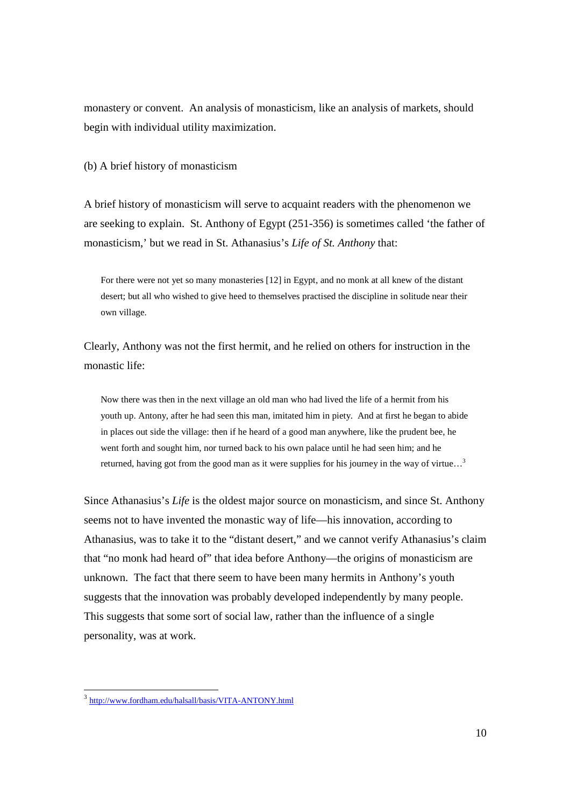monastery or convent. An analysis of monasticism, like an analysis of markets, should begin with individual utility maximization.

(b) A brief history of monasticism

A brief history of monasticism will serve to acquaint readers with the phenomenon we are seeking to explain. St. Anthony of Egypt (251-356) is sometimes called 'the father of monasticism,' but we read in St. Athanasius's *Life of St. Anthony* that:

For there were not yet so many monasteries [12] in Egypt, and no monk at all knew of the distant desert; but all who wished to give heed to themselves practised the discipline in solitude near their own village.

Clearly, Anthony was not the first hermit, and he relied on others for instruction in the monastic life:

Now there was then in the next village an old man who had lived the life of a hermit from his youth up. Antony, after he had seen this man, imitated him in piety. And at first he began to abide in places out side the village: then if he heard of a good man anywhere, like the prudent bee, he went forth and sought him, nor turned back to his own palace until he had seen him; and he returned, having got from the good man as it were supplies for his journey in the way of virtue...<sup>3</sup>

Since Athanasius's *Life* is the oldest major source on monasticism, and since St. Anthony seems not to have invented the monastic way of life—his innovation, according to Athanasius, was to take it to the "distant desert," and we cannot verify Athanasius's claim that "no monk had heard of" that idea before Anthony—the origins of monasticism are unknown. The fact that there seem to have been many hermits in Anthony's youth suggests that the innovation was probably developed independently by many people. This suggests that some sort of social law, rather than the influence of a single personality, was at work.

<sup>-&</sup>lt;br><sup>3</sup> http://www.fordham.edu/halsall/basis/VITA-ANTONY.html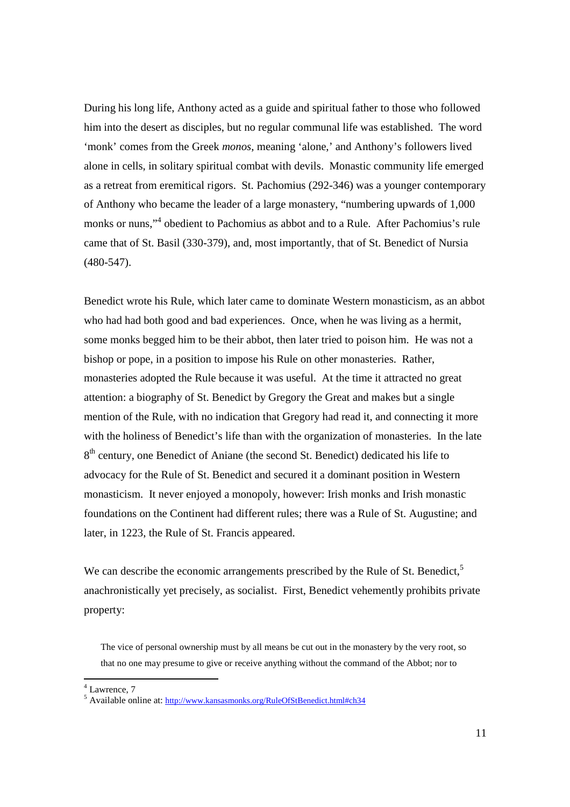During his long life, Anthony acted as a guide and spiritual father to those who followed him into the desert as disciples, but no regular communal life was established. The word 'monk' comes from the Greek *monos*, meaning 'alone,' and Anthony's followers lived alone in cells, in solitary spiritual combat with devils. Monastic community life emerged as a retreat from eremitical rigors. St. Pachomius (292-346) was a younger contemporary of Anthony who became the leader of a large monastery, "numbering upwards of 1,000 monks or nuns,"<sup>4</sup> obedient to Pachomius as abbot and to a Rule. After Pachomius's rule came that of St. Basil (330-379), and, most importantly, that of St. Benedict of Nursia (480-547).

Benedict wrote his Rule, which later came to dominate Western monasticism, as an abbot who had had both good and bad experiences. Once, when he was living as a hermit, some monks begged him to be their abbot, then later tried to poison him. He was not a bishop or pope, in a position to impose his Rule on other monasteries. Rather, monasteries adopted the Rule because it was useful. At the time it attracted no great attention: a biography of St. Benedict by Gregory the Great and makes but a single mention of the Rule, with no indication that Gregory had read it, and connecting it more with the holiness of Benedict's life than with the organization of monasteries. In the late 8<sup>th</sup> century, one Benedict of Aniane (the second St. Benedict) dedicated his life to advocacy for the Rule of St. Benedict and secured it a dominant position in Western monasticism. It never enjoyed a monopoly, however: Irish monks and Irish monastic foundations on the Continent had different rules; there was a Rule of St. Augustine; and later, in 1223, the Rule of St. Francis appeared.

We can describe the economic arrangements prescribed by the Rule of St. Benedict,<sup>5</sup> anachronistically yet precisely, as socialist. First, Benedict vehemently prohibits private property:

The vice of personal ownership must by all means be cut out in the monastery by the very root, so that no one may presume to give or receive anything without the command of the Abbot; nor to

 4 Lawrence, 7

<sup>&</sup>lt;sup>5</sup> Available online at: http://www.kansasmonks.org/RuleOfStBenedict.html#ch34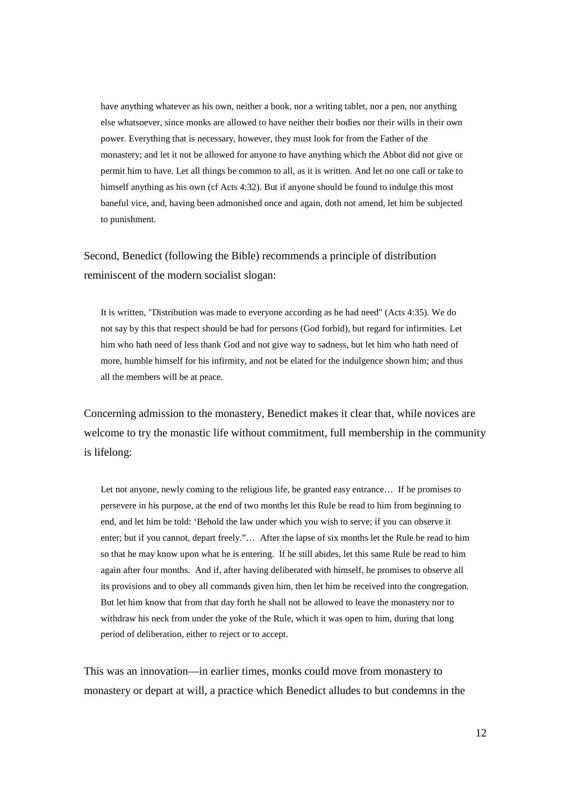have anything whatever as his own, neither a book, nor a writing tablet, nor a pen, nor anything else whatsoever, since monks are allowed to have neither their bodies nor their wills in their own power. Everything that is necessary, however, they must look for from the Father of the monastery; and let it not be allowed for anyone to have anything which the Abbot did not give or permit him to have. Let all things be common to all, as it is written. And let no one call or take to himself anything as his own (cf Acts 4:32). But if anyone should be found to indulge this most baneful vice, and, having been admonished once and again, doth not amend, let him be subjected to punishment.

Second, Benedict (following the Bible) recommends a principle of distribution reminiscent of the modern socialist slogan:

It is written, "Distribution was made to everyone according as he had need" (Acts 4:35). We do not say by this that respect should be had for persons (God forbid), but regard for infirmities. Let him who hath need of less thank God and not give way to sadness, but let him who hath need of more, humble himself for his infirmity, and not be elated for the indulgence shown him; and thus all the members will be at peace.

Concerning admission to the monastery, Benedict makes it clear that, while novices are welcome to try the monastic life without commitment, full membership in the community is lifelong:

Let not anyone, newly coming to the religious life, be granted easy entrance… If he promises to persevere in his purpose, at the end of two months let this Rule be read to him from beginning to end, and let him be told: 'Behold the law under which you wish to serve; if you can observe it enter; but if you cannot, depart freely."… After the lapse of six months let the Rule be read to him so that he may know upon what he is entering. If he still abides, let this same Rule be read to him again after four months. And if, after having deliberated with himself, he promises to observe all its provisions and to obey all commands given him, then let him be received into the congregation. But let him know that from that day forth he shall not be allowed to leave the monastery nor to withdraw his neck from under the yoke of the Rule, which it was open to him, during that long period of deliberation, either to reject or to accept.

This was an innovation—in earlier times, monks could move from monastery to monastery or depart at will, a practice which Benedict alludes to but condemns in the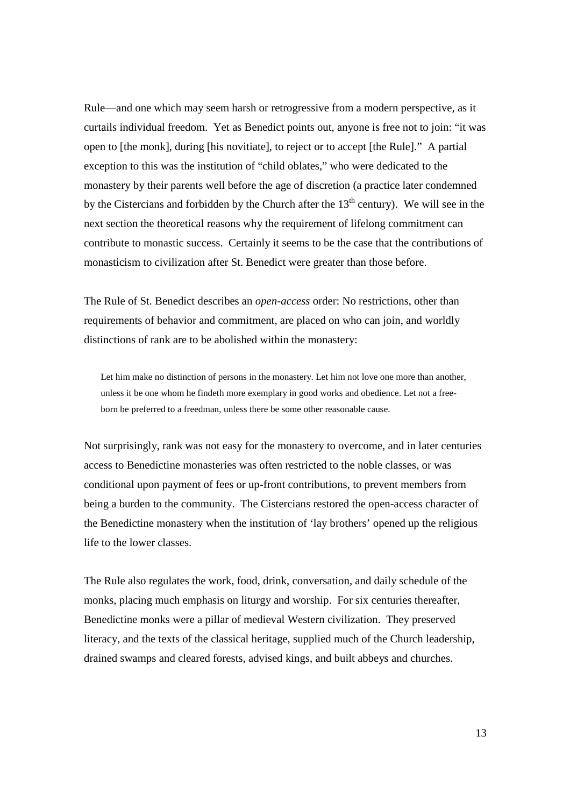Rule—and one which may seem harsh or retrogressive from a modern perspective, as it curtails individual freedom. Yet as Benedict points out, anyone is free not to join: "it was open to [the monk], during [his novitiate], to reject or to accept [the Rule]." A partial exception to this was the institution of "child oblates," who were dedicated to the monastery by their parents well before the age of discretion (a practice later condemned by the Cistercians and forbidden by the Church after the  $13<sup>th</sup>$  century). We will see in the next section the theoretical reasons why the requirement of lifelong commitment can contribute to monastic success. Certainly it seems to be the case that the contributions of monasticism to civilization after St. Benedict were greater than those before.

The Rule of St. Benedict describes an *open-access* order: No restrictions, other than requirements of behavior and commitment, are placed on who can join, and worldly distinctions of rank are to be abolished within the monastery:

Let him make no distinction of persons in the monastery. Let him not love one more than another, unless it be one whom he findeth more exemplary in good works and obedience. Let not a freeborn be preferred to a freedman, unless there be some other reasonable cause.

Not surprisingly, rank was not easy for the monastery to overcome, and in later centuries access to Benedictine monasteries was often restricted to the noble classes, or was conditional upon payment of fees or up-front contributions, to prevent members from being a burden to the community. The Cistercians restored the open-access character of the Benedictine monastery when the institution of 'lay brothers' opened up the religious life to the lower classes.

The Rule also regulates the work, food, drink, conversation, and daily schedule of the monks, placing much emphasis on liturgy and worship. For six centuries thereafter, Benedictine monks were a pillar of medieval Western civilization. They preserved literacy, and the texts of the classical heritage, supplied much of the Church leadership, drained swamps and cleared forests, advised kings, and built abbeys and churches.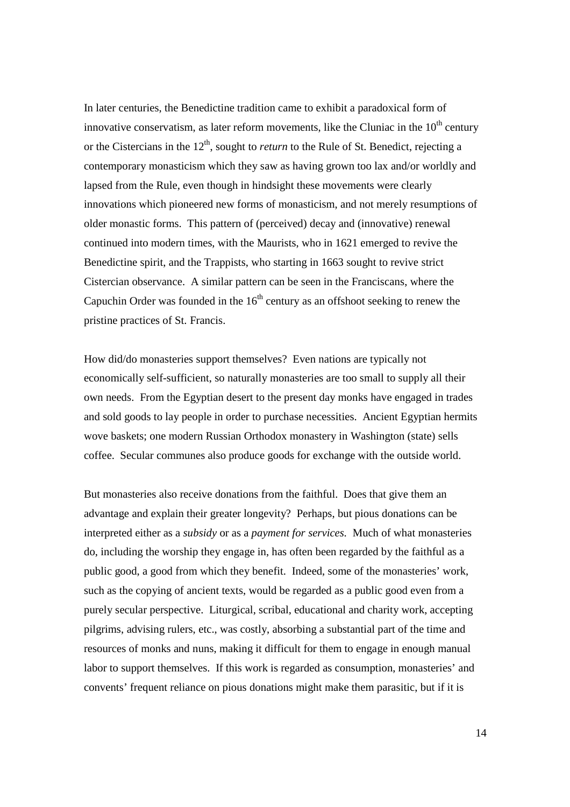In later centuries, the Benedictine tradition came to exhibit a paradoxical form of innovative conservatism, as later reform movements, like the Cluniac in the  $10<sup>th</sup>$  century or the Cistercians in the 12<sup>th</sup>, sought to *return* to the Rule of St. Benedict, rejecting a contemporary monasticism which they saw as having grown too lax and/or worldly and lapsed from the Rule, even though in hindsight these movements were clearly innovations which pioneered new forms of monasticism, and not merely resumptions of older monastic forms. This pattern of (perceived) decay and (innovative) renewal continued into modern times, with the Maurists, who in 1621 emerged to revive the Benedictine spirit, and the Trappists, who starting in 1663 sought to revive strict Cistercian observance. A similar pattern can be seen in the Franciscans, where the Capuchin Order was founded in the  $16<sup>th</sup>$  century as an offshoot seeking to renew the pristine practices of St. Francis.

How did/do monasteries support themselves? Even nations are typically not economically self-sufficient, so naturally monasteries are too small to supply all their own needs. From the Egyptian desert to the present day monks have engaged in trades and sold goods to lay people in order to purchase necessities. Ancient Egyptian hermits wove baskets; one modern Russian Orthodox monastery in Washington (state) sells coffee. Secular communes also produce goods for exchange with the outside world.

But monasteries also receive donations from the faithful. Does that give them an advantage and explain their greater longevity? Perhaps, but pious donations can be interpreted either as a *subsidy* or as a *payment for services.* Much of what monasteries do, including the worship they engage in, has often been regarded by the faithful as a public good, a good from which they benefit. Indeed, some of the monasteries' work, such as the copying of ancient texts, would be regarded as a public good even from a purely secular perspective. Liturgical, scribal, educational and charity work, accepting pilgrims, advising rulers, etc., was costly, absorbing a substantial part of the time and resources of monks and nuns, making it difficult for them to engage in enough manual labor to support themselves. If this work is regarded as consumption, monasteries' and convents' frequent reliance on pious donations might make them parasitic, but if it is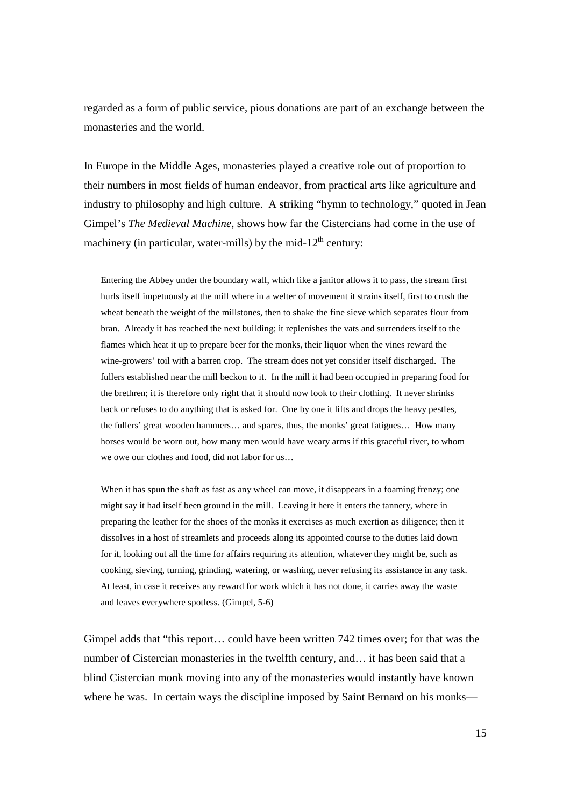regarded as a form of public service, pious donations are part of an exchange between the monasteries and the world.

In Europe in the Middle Ages, monasteries played a creative role out of proportion to their numbers in most fields of human endeavor, from practical arts like agriculture and industry to philosophy and high culture. A striking "hymn to technology," quoted in Jean Gimpel's *The Medieval Machine*, shows how far the Cistercians had come in the use of machinery (in particular, water-mills) by the mid-12<sup>th</sup> century:

Entering the Abbey under the boundary wall, which like a janitor allows it to pass, the stream first hurls itself impetuously at the mill where in a welter of movement it strains itself, first to crush the wheat beneath the weight of the millstones, then to shake the fine sieve which separates flour from bran. Already it has reached the next building; it replenishes the vats and surrenders itself to the flames which heat it up to prepare beer for the monks, their liquor when the vines reward the wine-growers' toil with a barren crop. The stream does not yet consider itself discharged. The fullers established near the mill beckon to it. In the mill it had been occupied in preparing food for the brethren; it is therefore only right that it should now look to their clothing. It never shrinks back or refuses to do anything that is asked for. One by one it lifts and drops the heavy pestles, the fullers' great wooden hammers… and spares, thus, the monks' great fatigues… How many horses would be worn out, how many men would have weary arms if this graceful river, to whom we owe our clothes and food, did not labor for us…

When it has spun the shaft as fast as any wheel can move, it disappears in a foaming frenzy; one might say it had itself been ground in the mill. Leaving it here it enters the tannery, where in preparing the leather for the shoes of the monks it exercises as much exertion as diligence; then it dissolves in a host of streamlets and proceeds along its appointed course to the duties laid down for it, looking out all the time for affairs requiring its attention, whatever they might be, such as cooking, sieving, turning, grinding, watering, or washing, never refusing its assistance in any task. At least, in case it receives any reward for work which it has not done, it carries away the waste and leaves everywhere spotless. (Gimpel, 5-6)

Gimpel adds that "this report… could have been written 742 times over; for that was the number of Cistercian monasteries in the twelfth century, and… it has been said that a blind Cistercian monk moving into any of the monasteries would instantly have known where he was. In certain ways the discipline imposed by Saint Bernard on his monks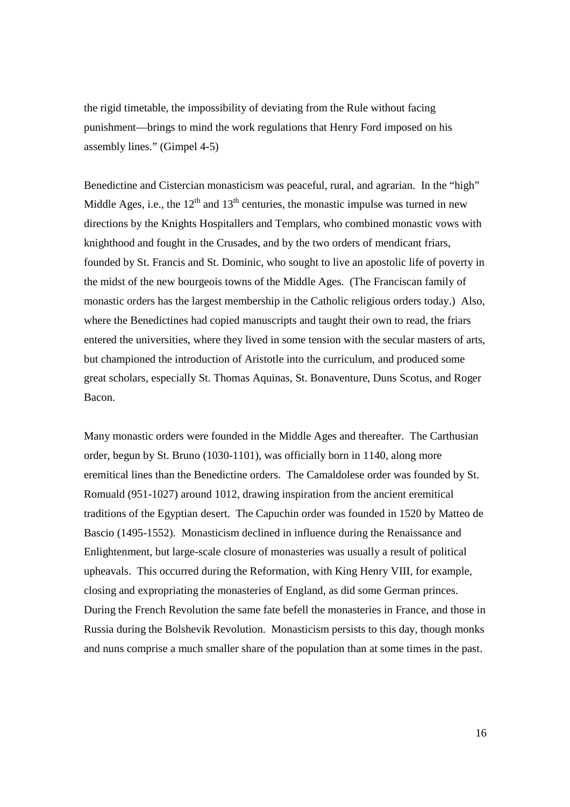the rigid timetable, the impossibility of deviating from the Rule without facing punishment—brings to mind the work regulations that Henry Ford imposed on his assembly lines." (Gimpel 4-5)

Benedictine and Cistercian monasticism was peaceful, rural, and agrarian. In the "high" Middle Ages, i.e., the  $12<sup>th</sup>$  and  $13<sup>th</sup>$  centuries, the monastic impulse was turned in new directions by the Knights Hospitallers and Templars, who combined monastic vows with knighthood and fought in the Crusades, and by the two orders of mendicant friars, founded by St. Francis and St. Dominic, who sought to live an apostolic life of poverty in the midst of the new bourgeois towns of the Middle Ages. (The Franciscan family of monastic orders has the largest membership in the Catholic religious orders today.) Also, where the Benedictines had copied manuscripts and taught their own to read, the friars entered the universities, where they lived in some tension with the secular masters of arts, but championed the introduction of Aristotle into the curriculum, and produced some great scholars, especially St. Thomas Aquinas, St. Bonaventure, Duns Scotus, and Roger Bacon.

Many monastic orders were founded in the Middle Ages and thereafter. The Carthusian order, begun by St. Bruno (1030-1101), was officially born in 1140, along more eremitical lines than the Benedictine orders. The Camaldolese order was founded by St. Romuald (951-1027) around 1012, drawing inspiration from the ancient eremitical traditions of the Egyptian desert. The Capuchin order was founded in 1520 by Matteo de Bascio (1495-1552). Monasticism declined in influence during the Renaissance and Enlightenment, but large-scale closure of monasteries was usually a result of political upheavals. This occurred during the Reformation, with King Henry VIII, for example, closing and expropriating the monasteries of England, as did some German princes. During the French Revolution the same fate befell the monasteries in France, and those in Russia during the Bolshevik Revolution. Monasticism persists to this day, though monks and nuns comprise a much smaller share of the population than at some times in the past.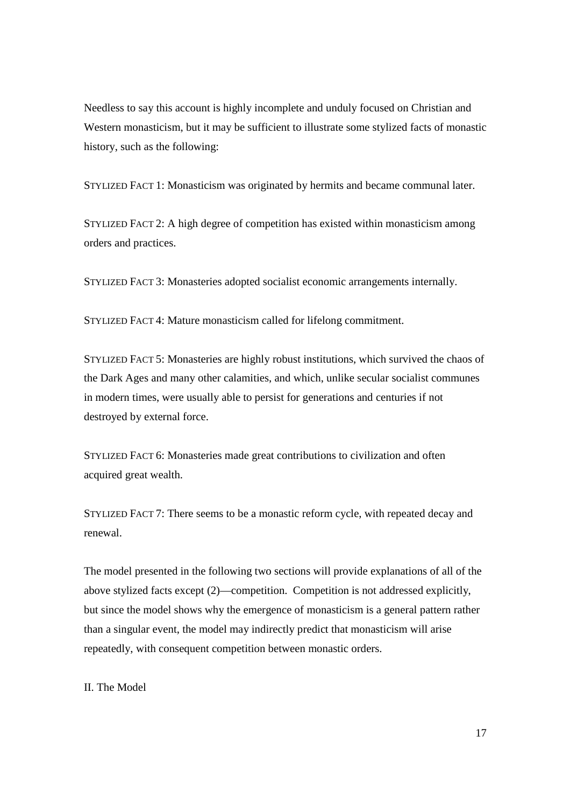Needless to say this account is highly incomplete and unduly focused on Christian and Western monasticism, but it may be sufficient to illustrate some stylized facts of monastic history, such as the following:

STYLIZED FACT 1: Monasticism was originated by hermits and became communal later.

STYLIZED FACT 2: A high degree of competition has existed within monasticism among orders and practices.

STYLIZED FACT 3: Monasteries adopted socialist economic arrangements internally.

STYLIZED FACT 4: Mature monasticism called for lifelong commitment.

STYLIZED FACT 5: Monasteries are highly robust institutions, which survived the chaos of the Dark Ages and many other calamities, and which, unlike secular socialist communes in modern times, were usually able to persist for generations and centuries if not destroyed by external force.

STYLIZED FACT 6: Monasteries made great contributions to civilization and often acquired great wealth.

STYLIZED FACT 7: There seems to be a monastic reform cycle, with repeated decay and renewal.

The model presented in the following two sections will provide explanations of all of the above stylized facts except (2)—competition. Competition is not addressed explicitly, but since the model shows why the emergence of monasticism is a general pattern rather than a singular event, the model may indirectly predict that monasticism will arise repeatedly, with consequent competition between monastic orders.

# II. The Model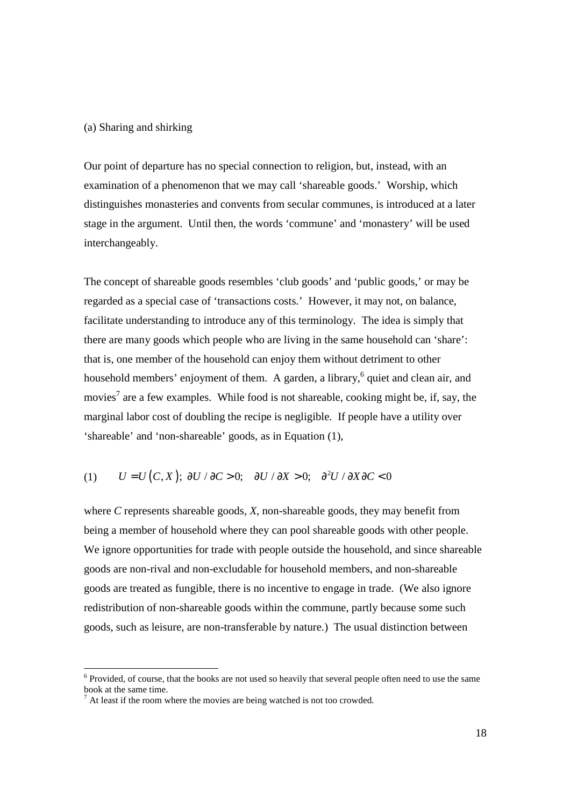#### (a) Sharing and shirking

Our point of departure has no special connection to religion, but, instead, with an examination of a phenomenon that we may call 'shareable goods.' Worship, which distinguishes monasteries and convents from secular communes, is introduced at a later stage in the argument. Until then, the words 'commune' and 'monastery' will be used interchangeably.

The concept of shareable goods resembles 'club goods' and 'public goods,' or may be regarded as a special case of 'transactions costs.' However, it may not, on balance, facilitate understanding to introduce any of this terminology. The idea is simply that there are many goods which people who are living in the same household can 'share': that is, one member of the household can enjoy them without detriment to other household members' enjoyment of them. A garden, a library, <sup>6</sup> quiet and clean air, and movies<sup>7</sup> are a few examples. While food is not shareable, cooking might be, if, say, the marginal labor cost of doubling the recipe is negligible. If people have a utility over 'shareable' and 'non-shareable' goods, as in Equation (1),

# (1)  $U = U(C, X); \partial U / \partial C > 0; \partial U / \partial X > 0; \partial^2 U / \partial X \partial C < 0$

where *C* represents shareable goods, *X*, non-shareable goods, they may benefit from being a member of household where they can pool shareable goods with other people. We ignore opportunities for trade with people outside the household, and since shareable goods are non-rival and non-excludable for household members, and non-shareable goods are treated as fungible, there is no incentive to engage in trade. (We also ignore redistribution of non-shareable goods within the commune, partly because some such goods, such as leisure, are non-transferable by nature.) The usual distinction between

-

<sup>&</sup>lt;sup>6</sup> Provided, of course, that the books are not used so heavily that several people often need to use the same book at the same time.

<sup>7</sup> At least if the room where the movies are being watched is not too crowded.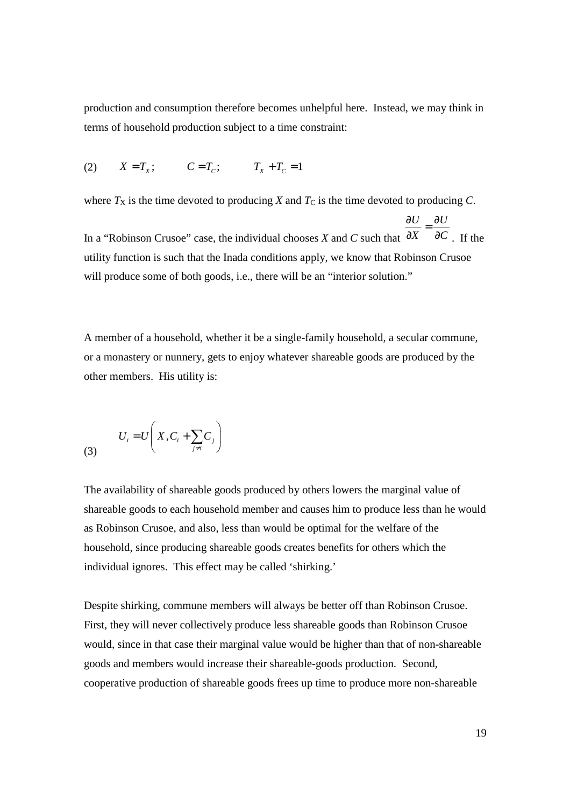production and consumption therefore becomes unhelpful here. Instead, we may think in terms of household production subject to a time constraint:

(2) 
$$
X = T_x
$$
;  $C = T_c$ ;  $T_x + T_c = 1$ 

where  $T_X$  is the time devoted to producing *X* and  $T_C$  is the time devoted to producing *C*.

In a "Robinson Crusoe" case, the individual chooses *X* and *C* such that  $U \quad \partial U$ *X C*  $\frac{\partial U}{\partial x} = \frac{\partial}{\partial x}$  $\partial X$   $\partial C$ . If the utility function is such that the Inada conditions apply, we know that Robinson Crusoe will produce some of both goods, i.e., there will be an "interior solution."

A member of a household, whether it be a single-family household, a secular commune, or a monastery or nunnery, gets to enjoy whatever shareable goods are produced by the other members. His utility is:

$$
U_i = U\left(X, C_i + \sum_{j \neq i} C_j\right)
$$

The availability of shareable goods produced by others lowers the marginal value of shareable goods to each household member and causes him to produce less than he would as Robinson Crusoe, and also, less than would be optimal for the welfare of the household, since producing shareable goods creates benefits for others which the individual ignores. This effect may be called 'shirking.'

Despite shirking, commune members will always be better off than Robinson Crusoe. First, they will never collectively produce less shareable goods than Robinson Crusoe would, since in that case their marginal value would be higher than that of non-shareable goods and members would increase their shareable-goods production. Second, cooperative production of shareable goods frees up time to produce more non-shareable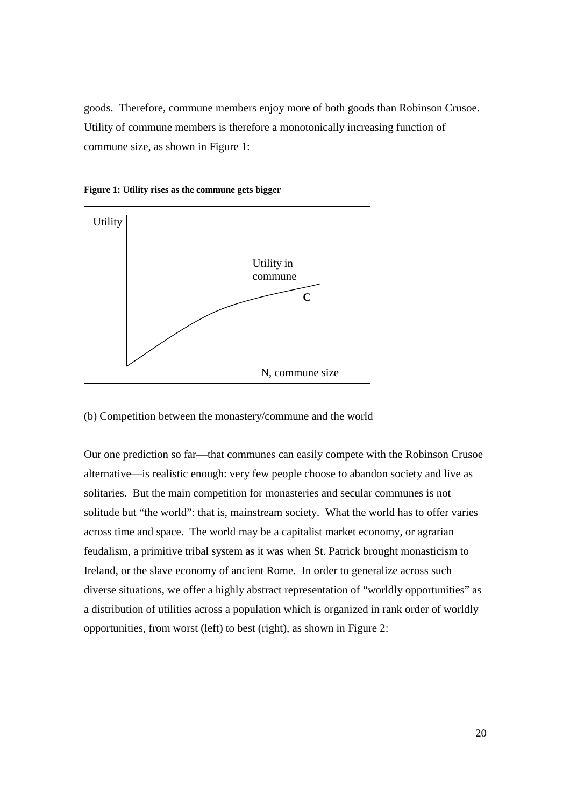goods. Therefore, commune members enjoy more of both goods than Robinson Crusoe. Utility of commune members is therefore a monotonically increasing function of commune size, as shown in Figure 1:





(b) Competition between the monastery/commune and the world

Our one prediction so far—that communes can easily compete with the Robinson Crusoe alternative—is realistic enough: very few people choose to abandon society and live as solitaries. But the main competition for monasteries and secular communes is not solitude but "the world": that is, mainstream society. What the world has to offer varies across time and space. The world may be a capitalist market economy, or agrarian feudalism, a primitive tribal system as it was when St. Patrick brought monasticism to Ireland, or the slave economy of ancient Rome. In order to generalize across such diverse situations, we offer a highly abstract representation of "worldly opportunities" as a distribution of utilities across a population which is organized in rank order of worldly opportunities, from worst (left) to best (right), as shown in Figure 2: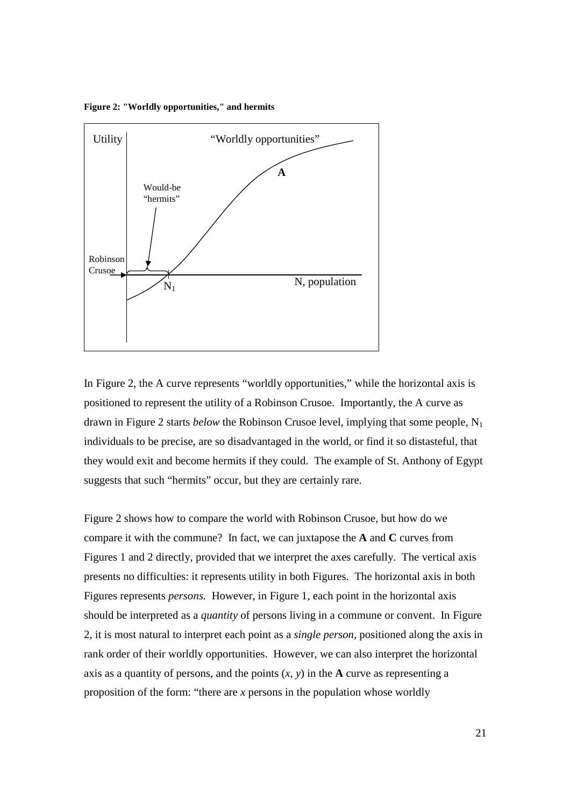**Figure 2: "Worldly opportunities," and hermits** 



In Figure 2, the A curve represents "worldly opportunities," while the horizontal axis is positioned to represent the utility of a Robinson Crusoe. Importantly, the A curve as drawn in Figure 2 starts *below* the Robinson Crusoe level, implying that some people, N<sub>1</sub> individuals to be precise, are so disadvantaged in the world, or find it so distasteful, that they would exit and become hermits if they could. The example of St. Anthony of Egypt suggests that such "hermits" occur, but they are certainly rare.

Figure 2 shows how to compare the world with Robinson Crusoe, but how do we compare it with the commune? In fact, we can juxtapose the **A** and **C** curves from Figures 1 and 2 directly, provided that we interpret the axes carefully. The vertical axis presents no difficulties: it represents utility in both Figures. The horizontal axis in both Figures represents *persons.* However, in Figure 1, each point in the horizontal axis should be interpreted as a *quantity* of persons living in a commune or convent. In Figure 2, it is most natural to interpret each point as a *single person,* positioned along the axis in rank order of their worldly opportunities. However, we can also interpret the horizontal axis as a quantity of persons, and the points  $(x, y)$  in the **A** curve as representing a proposition of the form: "there are *x* persons in the population whose worldly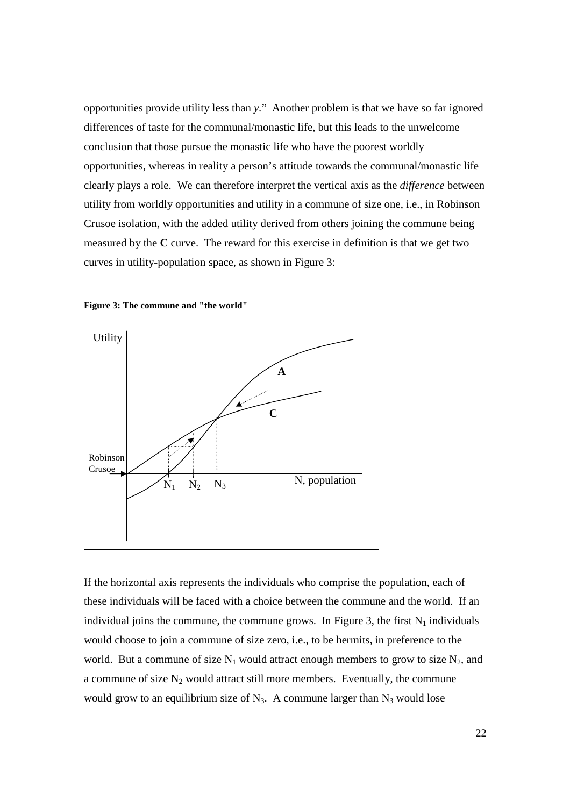opportunities provide utility less than *y*." Another problem is that we have so far ignored differences of taste for the communal/monastic life, but this leads to the unwelcome conclusion that those pursue the monastic life who have the poorest worldly opportunities, whereas in reality a person's attitude towards the communal/monastic life clearly plays a role. We can therefore interpret the vertical axis as the *difference* between utility from worldly opportunities and utility in a commune of size one, i.e., in Robinson Crusoe isolation, with the added utility derived from others joining the commune being measured by the **C** curve. The reward for this exercise in definition is that we get two curves in utility-population space, as shown in Figure 3:





If the horizontal axis represents the individuals who comprise the population, each of these individuals will be faced with a choice between the commune and the world. If an individual joins the commune, the commune grows. In Figure 3, the first  $N_1$  individuals would choose to join a commune of size zero, i.e., to be hermits, in preference to the world. But a commune of size  $N_1$  would attract enough members to grow to size  $N_2$ , and a commune of size  $N_2$  would attract still more members. Eventually, the commune would grow to an equilibrium size of  $N_3$ . A commune larger than  $N_3$  would lose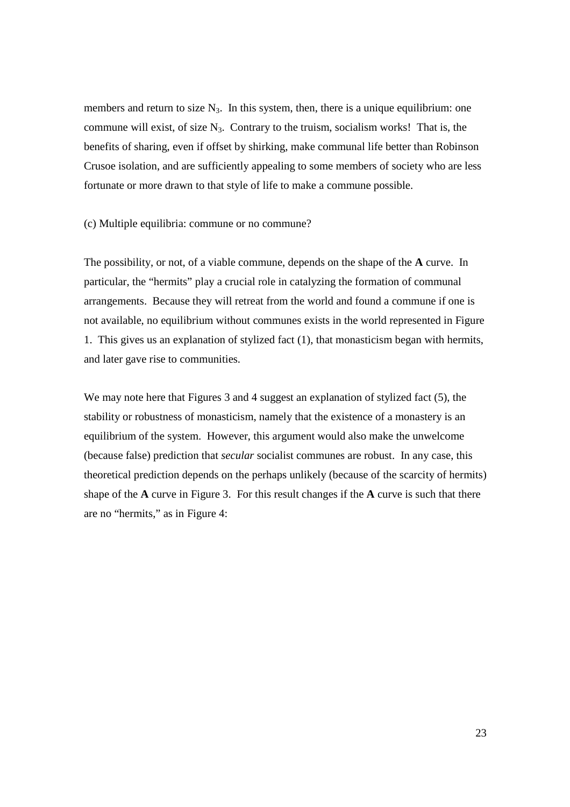members and return to size  $N_3$ . In this system, then, there is a unique equilibrium: one commune will exist, of size  $N_3$ . Contrary to the truism, socialism works! That is, the benefits of sharing, even if offset by shirking, make communal life better than Robinson Crusoe isolation, and are sufficiently appealing to some members of society who are less fortunate or more drawn to that style of life to make a commune possible.

(c) Multiple equilibria: commune or no commune?

The possibility, or not, of a viable commune, depends on the shape of the **A** curve. In particular, the "hermits" play a crucial role in catalyzing the formation of communal arrangements. Because they will retreat from the world and found a commune if one is not available, no equilibrium without communes exists in the world represented in Figure 1. This gives us an explanation of stylized fact (1), that monasticism began with hermits, and later gave rise to communities.

We may note here that Figures 3 and 4 suggest an explanation of stylized fact (5), the stability or robustness of monasticism, namely that the existence of a monastery is an equilibrium of the system. However, this argument would also make the unwelcome (because false) prediction that *secular* socialist communes are robust. In any case, this theoretical prediction depends on the perhaps unlikely (because of the scarcity of hermits) shape of the **A** curve in Figure 3. For this result changes if the **A** curve is such that there are no "hermits," as in Figure 4: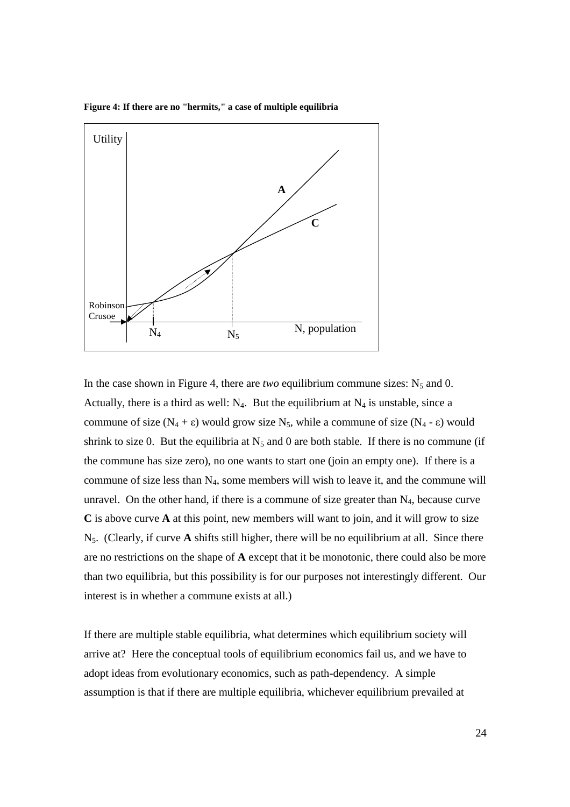

Robinson Crusoe

 $N_A$   $N_F$  N, population

 $N_5$ 

**Figure 4: If there are no "hermits," a case of multiple equilibria** 

In the case shown in Figure 4, there are *two* equilibrium commune sizes:  $N_5$  and 0. Actually, there is a third as well:  $N_4$ . But the equilibrium at  $N_4$  is unstable, since a commune of size  $(N_4 + \varepsilon)$  would grow size  $N_5$ , while a commune of size  $(N_4 - \varepsilon)$  would shrink to size 0. But the equilibria at  $N_5$  and 0 are both stable. If there is no commune (if the commune has size zero), no one wants to start one (join an empty one). If there is a commune of size less than  $N_4$ , some members will wish to leave it, and the commune will unravel. On the other hand, if there is a commune of size greater than  $N_4$ , because curve **C** is above curve **A** at this point, new members will want to join, and it will grow to size N5. (Clearly, if curve **A** shifts still higher, there will be no equilibrium at all. Since there are no restrictions on the shape of **A** except that it be monotonic, there could also be more than two equilibria, but this possibility is for our purposes not interestingly different. Our interest is in whether a commune exists at all.)

If there are multiple stable equilibria, what determines which equilibrium society will arrive at? Here the conceptual tools of equilibrium economics fail us, and we have to adopt ideas from evolutionary economics, such as path-dependency. A simple assumption is that if there are multiple equilibria, whichever equilibrium prevailed at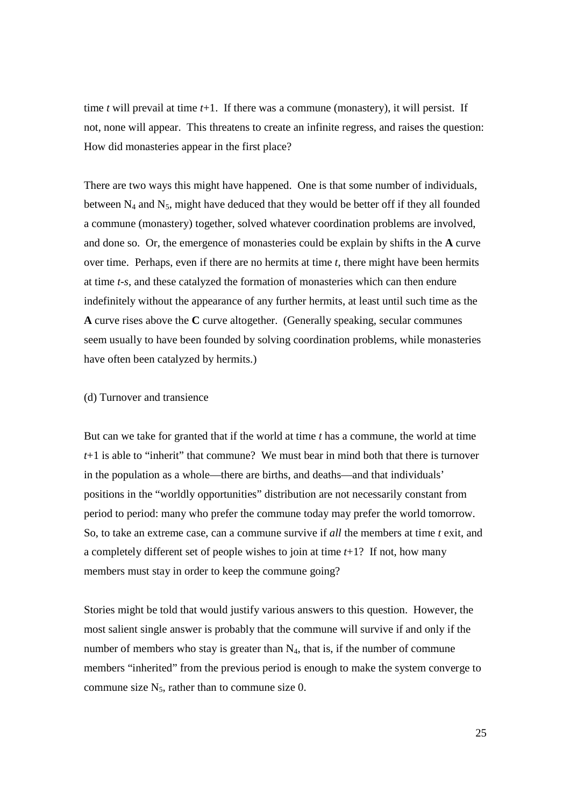time *t* will prevail at time *t*+1. If there was a commune (monastery), it will persist. If not, none will appear. This threatens to create an infinite regress, and raises the question: How did monasteries appear in the first place?

There are two ways this might have happened. One is that some number of individuals, between  $N_4$  and  $N_5$ , might have deduced that they would be better off if they all founded a commune (monastery) together, solved whatever coordination problems are involved, and done so. Or, the emergence of monasteries could be explain by shifts in the **A** curve over time. Perhaps, even if there are no hermits at time *t*, there might have been hermits at time *t-s*, and these catalyzed the formation of monasteries which can then endure indefinitely without the appearance of any further hermits, at least until such time as the **A** curve rises above the **C** curve altogether. (Generally speaking, secular communes seem usually to have been founded by solving coordination problems, while monasteries have often been catalyzed by hermits.)

# (d) Turnover and transience

But can we take for granted that if the world at time *t* has a commune, the world at time *t*+1 is able to "inherit" that commune? We must bear in mind both that there is turnover in the population as a whole—there are births, and deaths—and that individuals' positions in the "worldly opportunities" distribution are not necessarily constant from period to period: many who prefer the commune today may prefer the world tomorrow. So, to take an extreme case, can a commune survive if *all* the members at time *t* exit, and a completely different set of people wishes to join at time *t*+1? If not, how many members must stay in order to keep the commune going?

Stories might be told that would justify various answers to this question. However, the most salient single answer is probably that the commune will survive if and only if the number of members who stay is greater than N<sub>4</sub>, that is, if the number of commune members "inherited" from the previous period is enough to make the system converge to commune size  $N_5$ , rather than to commune size 0.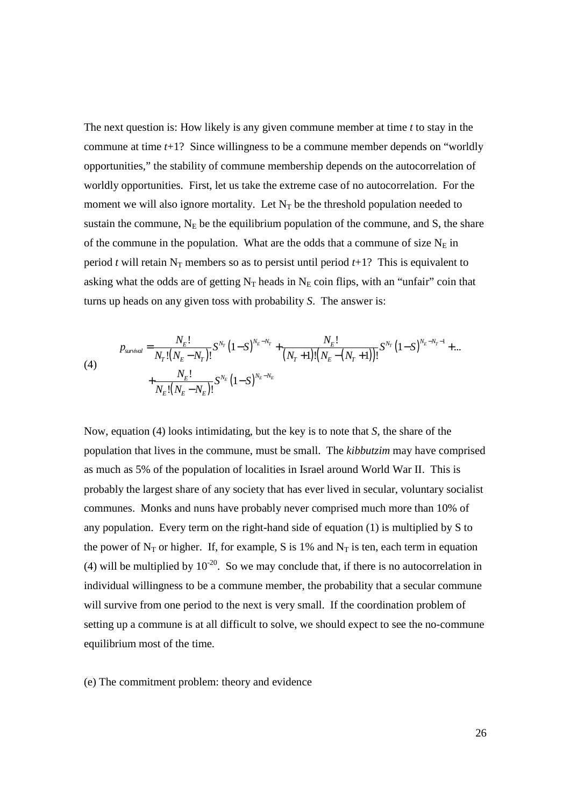The next question is: How likely is any given commune member at time *t* to stay in the commune at time *t*+1? Since willingness to be a commune member depends on "worldly opportunities," the stability of commune membership depends on the autocorrelation of worldly opportunities. First, let us take the extreme case of no autocorrelation. For the moment we will also ignore mortality. Let  $N_T$  be the threshold population needed to sustain the commune,  $N_E$  be the equilibrium population of the commune, and S, the share of the commune in the population. What are the odds that a commune of size  $N_E$  in period *t* will retain  $N_T$  members so as to persist until period  $t+1$ ? This is equivalent to asking what the odds are of getting  $N_T$  heads in  $N_E$  coin flips, with an "unfair" coin that turns up heads on any given toss with probability *S*. The answer is:

(4)  

$$
p_{\text{survival}} = \frac{N_E!}{N_T!(N_E - N_T)!} S^{N_T} (1 - S)^{N_E - N_T} + \frac{N_E!}{(N_T + 1)!(N_E - (N_T + 1))!} S^{N_T} (1 - S)^{N_E - N_T - 1} + ... + \frac{N_E!}{N_E!(N_E - N_E)!} S^{N_E} (1 - S)^{N_E - N_E}
$$

Now, equation (4) looks intimidating, but the key is to note that *S*, the share of the population that lives in the commune, must be small. The *kibbutzim* may have comprised as much as 5% of the population of localities in Israel around World War II. This is probably the largest share of any society that has ever lived in secular, voluntary socialist communes. Monks and nuns have probably never comprised much more than 10% of any population. Every term on the right-hand side of equation (1) is multiplied by S to the power of  $N_T$  or higher. If, for example, S is 1% and  $N_T$  is ten, each term in equation (4) will be multiplied by  $10^{-20}$ . So we may conclude that, if there is no autocorrelation in individual willingness to be a commune member, the probability that a secular commune will survive from one period to the next is very small. If the coordination problem of setting up a commune is at all difficult to solve, we should expect to see the no-commune equilibrium most of the time.

(e) The commitment problem: theory and evidence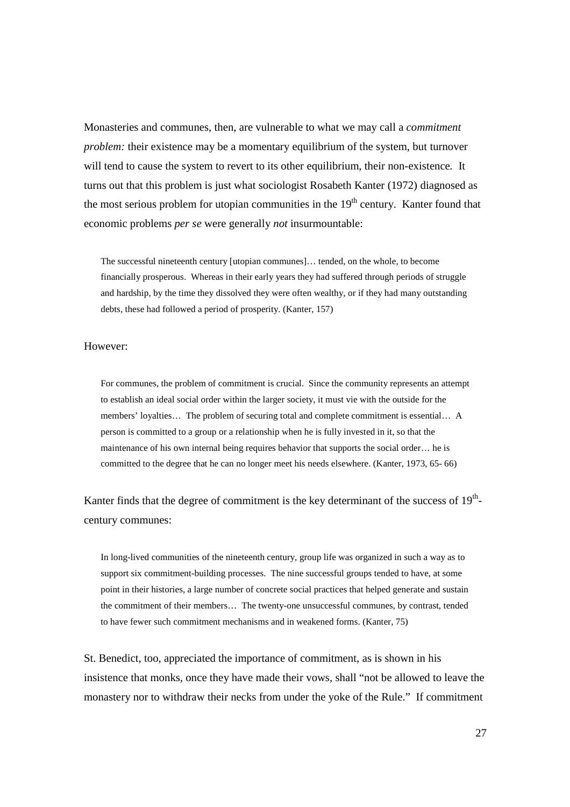Monasteries and communes, then, are vulnerable to what we may call a *commitment problem:* their existence may be a momentary equilibrium of the system, but turnover will tend to cause the system to revert to its other equilibrium, their non-existence*.* It turns out that this problem is just what sociologist Rosabeth Kanter (1972) diagnosed as the most serious problem for utopian communities in the  $19<sup>th</sup>$  century. Kanter found that economic problems *per se* were generally *not* insurmountable:

The successful nineteenth century [utopian communes]… tended, on the whole, to become financially prosperous. Whereas in their early years they had suffered through periods of struggle and hardship, by the time they dissolved they were often wealthy, or if they had many outstanding debts, these had followed a period of prosperity. (Kanter, 157)

#### However:

For communes, the problem of commitment is crucial. Since the community represents an attempt to establish an ideal social order within the larger society, it must vie with the outside for the members' loyalties… The problem of securing total and complete commitment is essential… A person is committed to a group or a relationship when he is fully invested in it, so that the maintenance of his own internal being requires behavior that supports the social order… he is committed to the degree that he can no longer meet his needs elsewhere. (Kanter, 1973, 65- 66)

Kanter finds that the degree of commitment is the key determinant of the success of  $19<sup>th</sup>$ century communes:

In long-lived communities of the nineteenth century, group life was organized in such a way as to support six commitment-building processes. The nine successful groups tended to have, at some point in their histories, a large number of concrete social practices that helped generate and sustain the commitment of their members… The twenty-one unsuccessful communes, by contrast, tended to have fewer such commitment mechanisms and in weakened forms. (Kanter, 75)

St. Benedict, too, appreciated the importance of commitment, as is shown in his insistence that monks, once they have made their vows, shall "not be allowed to leave the monastery nor to withdraw their necks from under the yoke of the Rule." If commitment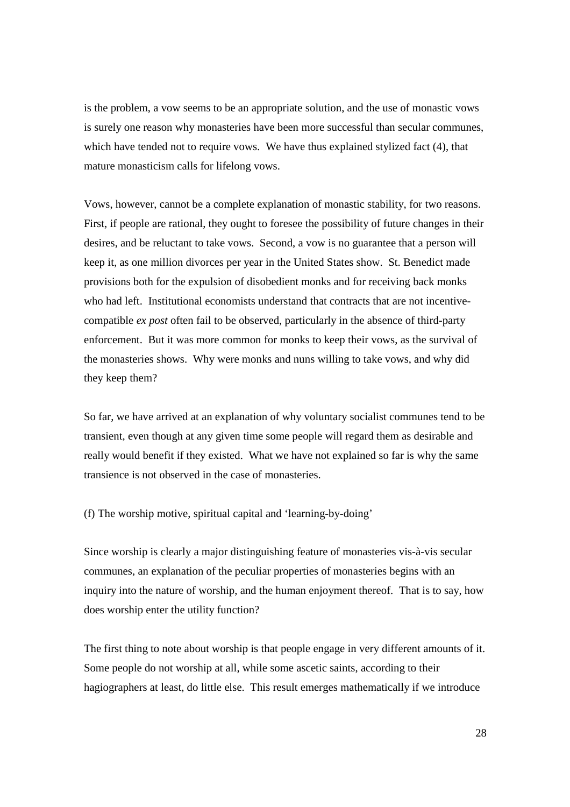is the problem, a vow seems to be an appropriate solution, and the use of monastic vows is surely one reason why monasteries have been more successful than secular communes, which have tended not to require vows. We have thus explained stylized fact (4), that mature monasticism calls for lifelong vows.

Vows, however, cannot be a complete explanation of monastic stability, for two reasons. First, if people are rational, they ought to foresee the possibility of future changes in their desires, and be reluctant to take vows. Second, a vow is no guarantee that a person will keep it, as one million divorces per year in the United States show. St. Benedict made provisions both for the expulsion of disobedient monks and for receiving back monks who had left. Institutional economists understand that contracts that are not incentivecompatible *ex post* often fail to be observed, particularly in the absence of third-party enforcement. But it was more common for monks to keep their vows, as the survival of the monasteries shows. Why were monks and nuns willing to take vows, and why did they keep them?

So far, we have arrived at an explanation of why voluntary socialist communes tend to be transient, even though at any given time some people will regard them as desirable and really would benefit if they existed. What we have not explained so far is why the same transience is not observed in the case of monasteries.

(f) The worship motive, spiritual capital and 'learning-by-doing'

Since worship is clearly a major distinguishing feature of monasteries vis-à-vis secular communes, an explanation of the peculiar properties of monasteries begins with an inquiry into the nature of worship, and the human enjoyment thereof. That is to say, how does worship enter the utility function?

The first thing to note about worship is that people engage in very different amounts of it. Some people do not worship at all, while some ascetic saints, according to their hagiographers at least, do little else. This result emerges mathematically if we introduce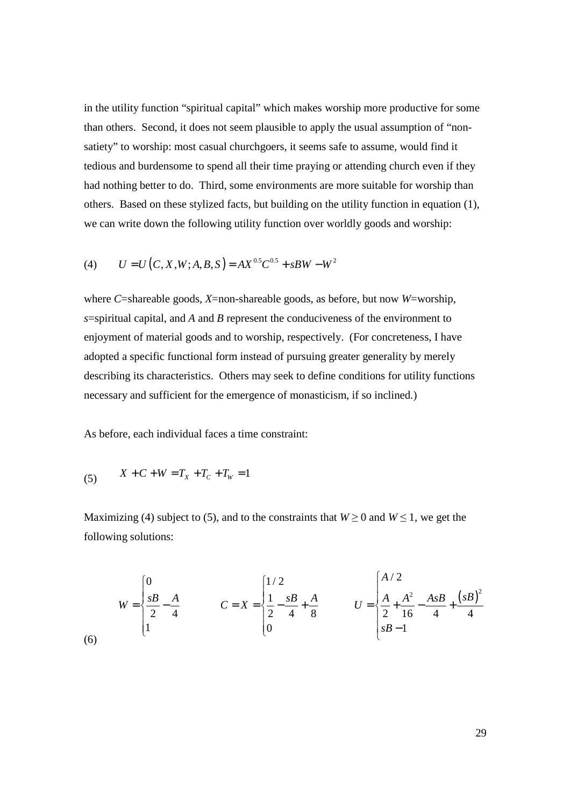in the utility function "spiritual capital" which makes worship more productive for some than others. Second, it does not seem plausible to apply the usual assumption of "nonsatiety" to worship: most casual churchgoers, it seems safe to assume, would find it tedious and burdensome to spend all their time praying or attending church even if they had nothing better to do. Third, some environments are more suitable for worship than others. Based on these stylized facts, but building on the utility function in equation (1), we can write down the following utility function over worldly goods and worship:

(4) 
$$
U = U(C, X, W; A, B, S) = AX^{0.5}C^{0.5} + sBW - W^2
$$

where *C*=shareable goods, *X*=non-shareable goods, as before, but now *W*=worship, *s*=spiritual capital, and *A* and *B* represent the conduciveness of the environment to enjoyment of material goods and to worship, respectively. (For concreteness, I have adopted a specific functional form instead of pursuing greater generality by merely describing its characteristics. Others may seek to define conditions for utility functions necessary and sufficient for the emergence of monasticism, if so inclined.)

As before, each individual faces a time constraint:

(5) 
$$
X + C + W = T_X + T_C + T_W = 1
$$

Maximizing (4) subject to (5), and to the constraints that  $W \ge 0$  and  $W \le 1$ , we get the following solutions:

$$
W = \begin{cases} 0 & C = X = \begin{cases} 1/2 & 0\\ \frac{1}{2} - \frac{1}{4} & C = X = \begin{cases} 1/2 & 0\\ \frac{1}{2} - \frac{1}{4} + \frac{1}{8} & 0 \end{cases} & U = \begin{cases} A/2 & 0\\ \frac{1}{2} + \frac{1}{2} - \frac{1}{4} & 0 \end{cases} & A \leq B + \frac{(1/2)^2}{4} \end{cases}
$$
\n
$$
(6)
$$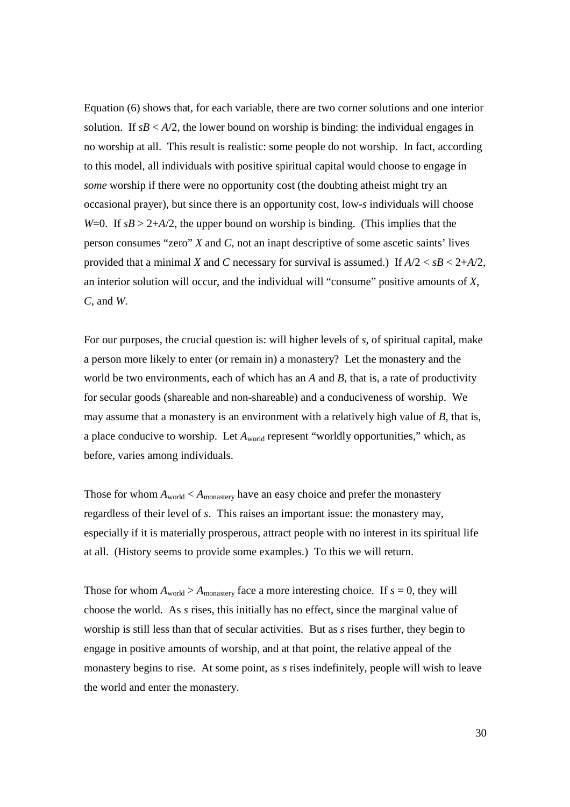Equation (6) shows that, for each variable, there are two corner solutions and one interior solution. If  $sB < A/2$ , the lower bound on worship is binding: the individual engages in no worship at all. This result is realistic: some people do not worship. In fact, according to this model, all individuals with positive spiritual capital would choose to engage in *some* worship if there were no opportunity cost (the doubting atheist might try an occasional prayer), but since there is an opportunity cost, low-*s* individuals will choose *W*=0. If  $sB > 2+A/2$ , the upper bound on worship is binding. (This implies that the person consumes "zero" *X* and *C*, not an inapt descriptive of some ascetic saints' lives provided that a minimal *X* and *C* necessary for survival is assumed.) If  $A/2 < sB < 2+A/2$ , an interior solution will occur, and the individual will "consume" positive amounts of *X*, *C*, and *W*.

For our purposes, the crucial question is: will higher levels of *s*, of spiritual capital, make a person more likely to enter (or remain in) a monastery? Let the monastery and the world be two environments, each of which has an *A* and *B*, that is, a rate of productivity for secular goods (shareable and non-shareable) and a conduciveness of worship. We may assume that a monastery is an environment with a relatively high value of *B*, that is, a place conducive to worship. Let  $A_{\text{world}}$  represent "worldly opportunities," which, as before, varies among individuals.

Those for whom  $A_{\text{world}} < A_{\text{monastery}}$  have an easy choice and prefer the monastery regardless of their level of *s*. This raises an important issue: the monastery may, especially if it is materially prosperous, attract people with no interest in its spiritual life at all. (History seems to provide some examples.) To this we will return.

Those for whom  $A_{\text{world}} > A_{\text{monastery}}$  face a more interesting choice. If  $s = 0$ , they will choose the world. As *s* rises, this initially has no effect, since the marginal value of worship is still less than that of secular activities. But as *s* rises further, they begin to engage in positive amounts of worship, and at that point, the relative appeal of the monastery begins to rise. At some point, as *s* rises indefinitely, people will wish to leave the world and enter the monastery.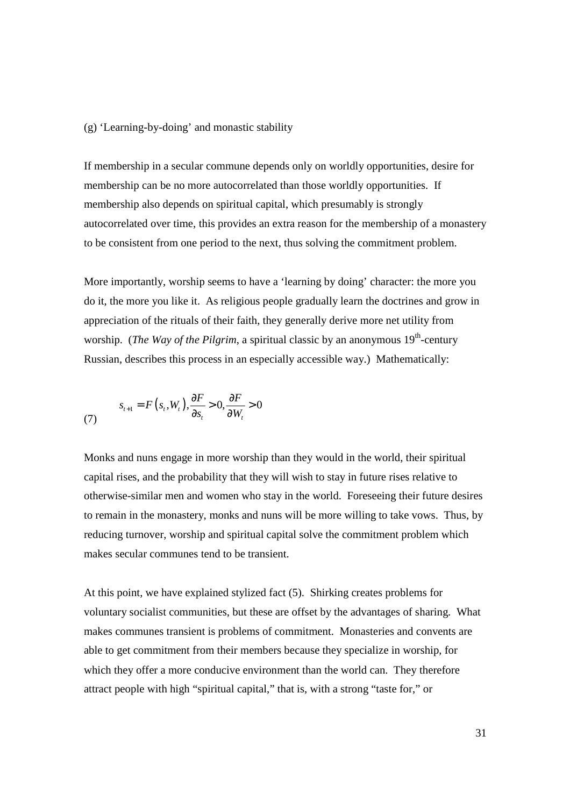(g) 'Learning-by-doing' and monastic stability

If membership in a secular commune depends only on worldly opportunities, desire for membership can be no more autocorrelated than those worldly opportunities. If membership also depends on spiritual capital, which presumably is strongly autocorrelated over time, this provides an extra reason for the membership of a monastery to be consistent from one period to the next, thus solving the commitment problem.

More importantly, worship seems to have a 'learning by doing' character: the more you do it, the more you like it. As religious people gradually learn the doctrines and grow in appreciation of the rituals of their faith, they generally derive more net utility from worship. (*The Way of the Pilgrim*, a spiritual classic by an anonymous  $19<sup>th</sup>$ -century Russian, describes this process in an especially accessible way.) Mathematically:

(7) 
$$
s_{t+1} = F(s_t, W_t), \frac{\partial F}{\partial s_t} > 0, \frac{\partial F}{\partial W_t} > 0
$$

Monks and nuns engage in more worship than they would in the world, their spiritual capital rises, and the probability that they will wish to stay in future rises relative to otherwise-similar men and women who stay in the world. Foreseeing their future desires to remain in the monastery, monks and nuns will be more willing to take vows. Thus, by reducing turnover, worship and spiritual capital solve the commitment problem which makes secular communes tend to be transient.

At this point, we have explained stylized fact (5). Shirking creates problems for voluntary socialist communities, but these are offset by the advantages of sharing. What makes communes transient is problems of commitment. Monasteries and convents are able to get commitment from their members because they specialize in worship, for which they offer a more conducive environment than the world can. They therefore attract people with high "spiritual capital," that is, with a strong "taste for," or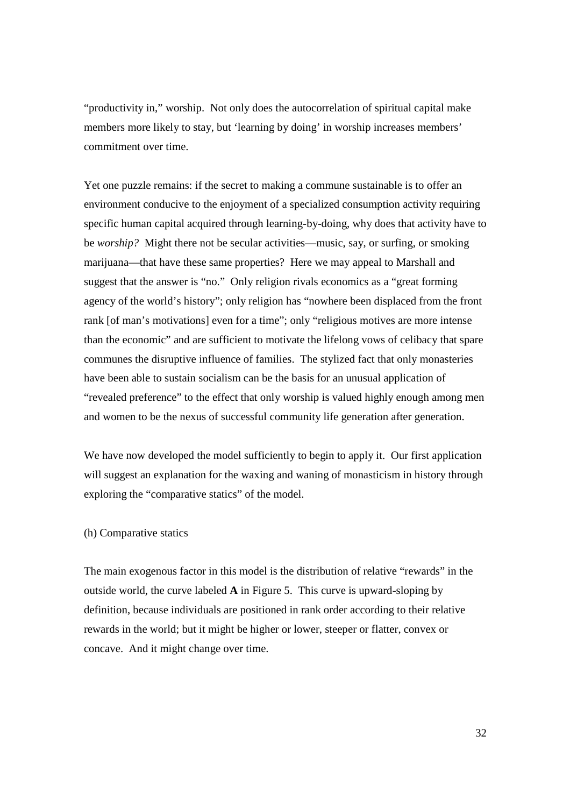"productivity in," worship. Not only does the autocorrelation of spiritual capital make members more likely to stay, but 'learning by doing' in worship increases members' commitment over time.

Yet one puzzle remains: if the secret to making a commune sustainable is to offer an environment conducive to the enjoyment of a specialized consumption activity requiring specific human capital acquired through learning-by-doing, why does that activity have to be *worship?* Might there not be secular activities—music, say, or surfing, or smoking marijuana—that have these same properties? Here we may appeal to Marshall and suggest that the answer is "no." Only religion rivals economics as a "great forming agency of the world's history"; only religion has "nowhere been displaced from the front rank [of man's motivations] even for a time"; only "religious motives are more intense than the economic" and are sufficient to motivate the lifelong vows of celibacy that spare communes the disruptive influence of families. The stylized fact that only monasteries have been able to sustain socialism can be the basis for an unusual application of "revealed preference" to the effect that only worship is valued highly enough among men and women to be the nexus of successful community life generation after generation.

We have now developed the model sufficiently to begin to apply it. Our first application will suggest an explanation for the waxing and waning of monasticism in history through exploring the "comparative statics" of the model.

# (h) Comparative statics

The main exogenous factor in this model is the distribution of relative "rewards" in the outside world, the curve labeled **A** in Figure 5. This curve is upward-sloping by definition, because individuals are positioned in rank order according to their relative rewards in the world; but it might be higher or lower, steeper or flatter, convex or concave. And it might change over time.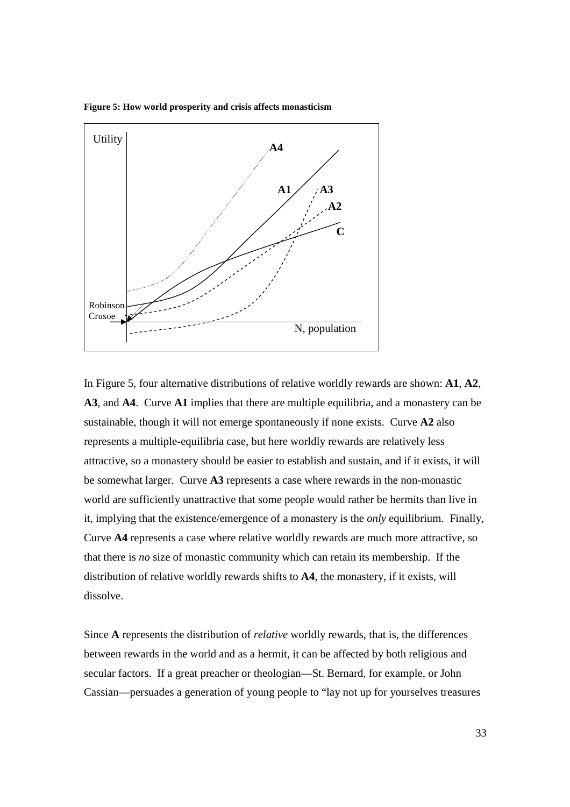**Figure 5: How world prosperity and crisis affects monasticism** 



In Figure 5, four alternative distributions of relative worldly rewards are shown: **A1**, **A2**, **A3**, and **A4**. Curve **A1** implies that there are multiple equilibria, and a monastery can be sustainable, though it will not emerge spontaneously if none exists. Curve **A2** also represents a multiple-equilibria case, but here worldly rewards are relatively less attractive, so a monastery should be easier to establish and sustain, and if it exists, it will be somewhat larger. Curve **A3** represents a case where rewards in the non-monastic world are sufficiently unattractive that some people would rather be hermits than live in it, implying that the existence/emergence of a monastery is the *only* equilibrium. Finally, Curve **A4** represents a case where relative worldly rewards are much more attractive, so that there is *no* size of monastic community which can retain its membership. If the distribution of relative worldly rewards shifts to **A4**, the monastery, if it exists, will dissolve.

Since **A** represents the distribution of *relative* worldly rewards, that is, the differences between rewards in the world and as a hermit, it can be affected by both religious and secular factors. If a great preacher or theologian—St. Bernard, for example, or John Cassian—persuades a generation of young people to "lay not up for yourselves treasures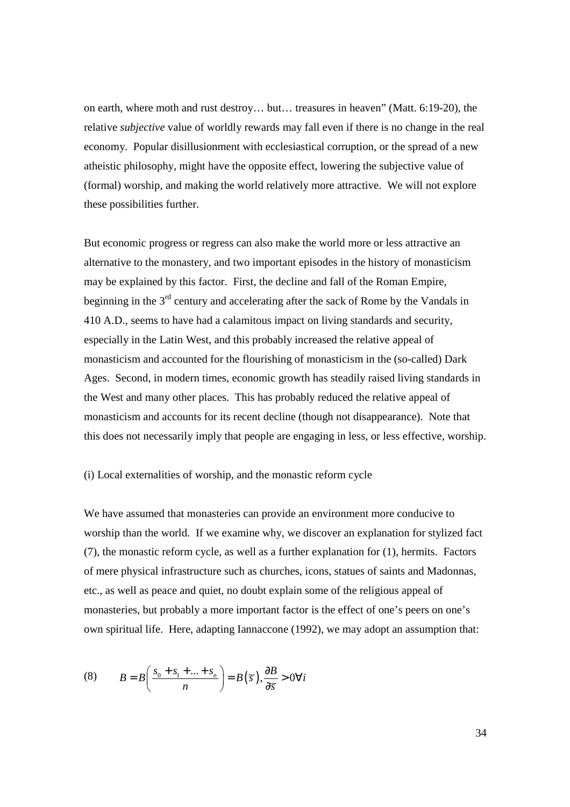on earth, where moth and rust destroy… but… treasures in heaven" (Matt. 6:19-20), the relative *subjective* value of worldly rewards may fall even if there is no change in the real economy. Popular disillusionment with ecclesiastical corruption, or the spread of a new atheistic philosophy, might have the opposite effect, lowering the subjective value of (formal) worship, and making the world relatively more attractive. We will not explore these possibilities further.

But economic progress or regress can also make the world more or less attractive an alternative to the monastery, and two important episodes in the history of monasticism may be explained by this factor. First, the decline and fall of the Roman Empire, beginning in the 3<sup>rd</sup> century and accelerating after the sack of Rome by the Vandals in 410 A.D., seems to have had a calamitous impact on living standards and security, especially in the Latin West, and this probably increased the relative appeal of monasticism and accounted for the flourishing of monasticism in the (so-called) Dark Ages. Second, in modern times, economic growth has steadily raised living standards in the West and many other places. This has probably reduced the relative appeal of monasticism and accounts for its recent decline (though not disappearance). Note that this does not necessarily imply that people are engaging in less, or less effective, worship.

# (i) Local externalities of worship, and the monastic reform cycle

We have assumed that monasteries can provide an environment more conducive to worship than the world. If we examine why, we discover an explanation for stylized fact (7), the monastic reform cycle, as well as a further explanation for (1), hermits. Factors of mere physical infrastructure such as churches, icons, statues of saints and Madonnas, etc., as well as peace and quiet, no doubt explain some of the religious appeal of monasteries, but probably a more important factor is the effect of one's peers on one's own spiritual life. Here, adapting Iannaccone (1992), we may adopt an assumption that:

(8) 
$$
B = B\left(\frac{s_0 + s_1 + \dots + s_n}{n}\right) = B(\overline{s}), \frac{\partial B}{\partial \overline{s}} > 0 \forall i
$$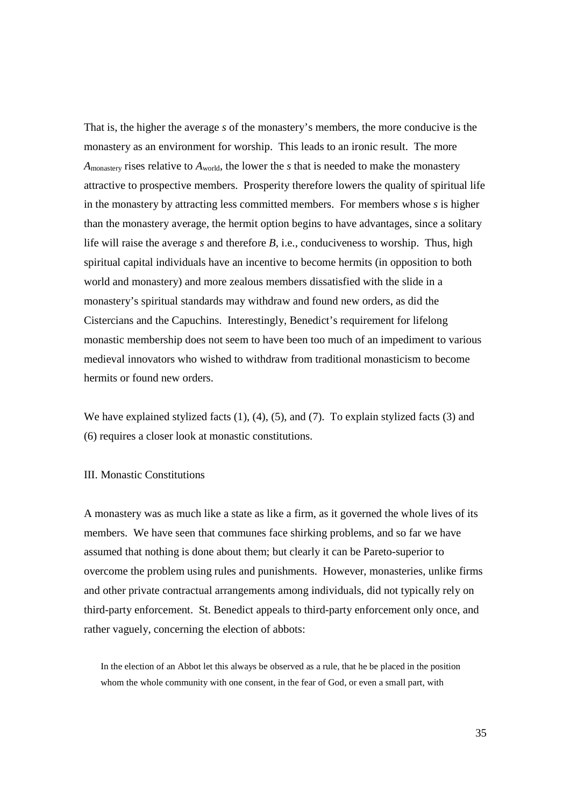That is, the higher the average *s* of the monastery's members, the more conducive is the monastery as an environment for worship. This leads to an ironic result. The more *A*monastery rises relative to *A*world, the lower the *s* that is needed to make the monastery attractive to prospective members. Prosperity therefore lowers the quality of spiritual life in the monastery by attracting less committed members. For members whose *s* is higher than the monastery average, the hermit option begins to have advantages, since a solitary life will raise the average *s* and therefore *B*, i.e., conduciveness to worship. Thus, high spiritual capital individuals have an incentive to become hermits (in opposition to both world and monastery) and more zealous members dissatisfied with the slide in a monastery's spiritual standards may withdraw and found new orders, as did the Cistercians and the Capuchins. Interestingly, Benedict's requirement for lifelong monastic membership does not seem to have been too much of an impediment to various medieval innovators who wished to withdraw from traditional monasticism to become hermits or found new orders.

We have explained stylized facts (1), (4), (5), and (7). To explain stylized facts (3) and (6) requires a closer look at monastic constitutions.

# III. Monastic Constitutions

A monastery was as much like a state as like a firm, as it governed the whole lives of its members. We have seen that communes face shirking problems, and so far we have assumed that nothing is done about them; but clearly it can be Pareto-superior to overcome the problem using rules and punishments. However, monasteries, unlike firms and other private contractual arrangements among individuals, did not typically rely on third-party enforcement. St. Benedict appeals to third-party enforcement only once, and rather vaguely, concerning the election of abbots:

In the election of an Abbot let this always be observed as a rule, that he be placed in the position whom the whole community with one consent, in the fear of God, or even a small part, with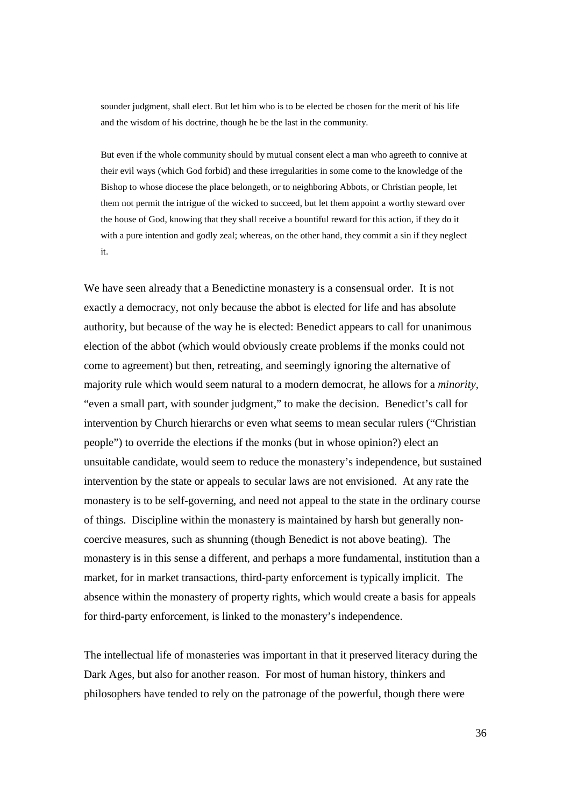sounder judgment, shall elect. But let him who is to be elected be chosen for the merit of his life and the wisdom of his doctrine, though he be the last in the community.

But even if the whole community should by mutual consent elect a man who agreeth to connive at their evil ways (which God forbid) and these irregularities in some come to the knowledge of the Bishop to whose diocese the place belongeth, or to neighboring Abbots, or Christian people, let them not permit the intrigue of the wicked to succeed, but let them appoint a worthy steward over the house of God, knowing that they shall receive a bountiful reward for this action, if they do it with a pure intention and godly zeal; whereas, on the other hand, they commit a sin if they neglect it.

We have seen already that a Benedictine monastery is a consensual order. It is not exactly a democracy, not only because the abbot is elected for life and has absolute authority, but because of the way he is elected: Benedict appears to call for unanimous election of the abbot (which would obviously create problems if the monks could not come to agreement) but then, retreating, and seemingly ignoring the alternative of majority rule which would seem natural to a modern democrat, he allows for a *minority,* "even a small part, with sounder judgment," to make the decision. Benedict's call for intervention by Church hierarchs or even what seems to mean secular rulers ("Christian people") to override the elections if the monks (but in whose opinion?) elect an unsuitable candidate, would seem to reduce the monastery's independence, but sustained intervention by the state or appeals to secular laws are not envisioned. At any rate the monastery is to be self-governing, and need not appeal to the state in the ordinary course of things. Discipline within the monastery is maintained by harsh but generally noncoercive measures, such as shunning (though Benedict is not above beating). The monastery is in this sense a different, and perhaps a more fundamental, institution than a market, for in market transactions, third-party enforcement is typically implicit. The absence within the monastery of property rights, which would create a basis for appeals for third-party enforcement, is linked to the monastery's independence.

The intellectual life of monasteries was important in that it preserved literacy during the Dark Ages, but also for another reason. For most of human history, thinkers and philosophers have tended to rely on the patronage of the powerful, though there were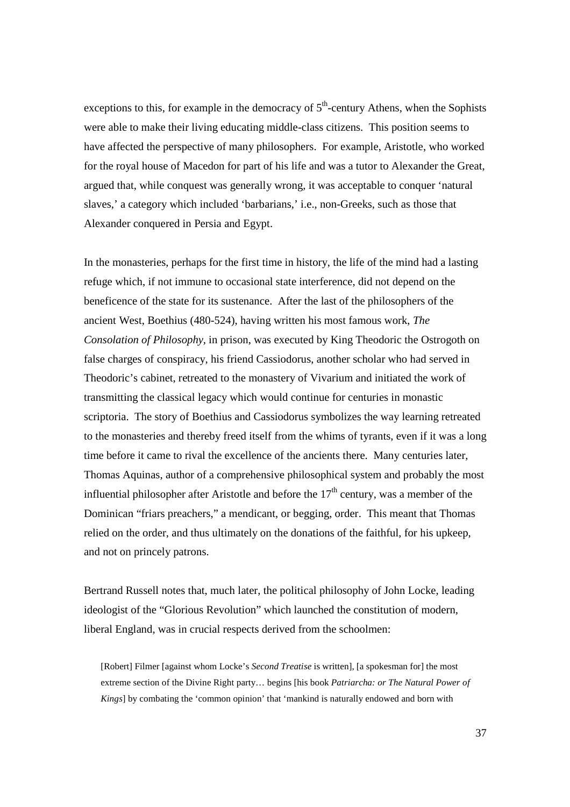exceptions to this, for example in the democracy of  $5<sup>th</sup>$ -century Athens, when the Sophists were able to make their living educating middle-class citizens. This position seems to have affected the perspective of many philosophers. For example, Aristotle, who worked for the royal house of Macedon for part of his life and was a tutor to Alexander the Great, argued that, while conquest was generally wrong, it was acceptable to conquer 'natural slaves,' a category which included 'barbarians,' i.e., non-Greeks, such as those that Alexander conquered in Persia and Egypt.

In the monasteries, perhaps for the first time in history, the life of the mind had a lasting refuge which, if not immune to occasional state interference, did not depend on the beneficence of the state for its sustenance. After the last of the philosophers of the ancient West, Boethius (480-524), having written his most famous work, *The Consolation of Philosophy,* in prison, was executed by King Theodoric the Ostrogoth on false charges of conspiracy, his friend Cassiodorus, another scholar who had served in Theodoric's cabinet, retreated to the monastery of Vivarium and initiated the work of transmitting the classical legacy which would continue for centuries in monastic scriptoria. The story of Boethius and Cassiodorus symbolizes the way learning retreated to the monasteries and thereby freed itself from the whims of tyrants, even if it was a long time before it came to rival the excellence of the ancients there. Many centuries later, Thomas Aquinas, author of a comprehensive philosophical system and probably the most influential philosopher after Aristotle and before the  $17<sup>th</sup>$  century, was a member of the Dominican "friars preachers," a mendicant, or begging, order. This meant that Thomas relied on the order, and thus ultimately on the donations of the faithful, for his upkeep, and not on princely patrons.

Bertrand Russell notes that, much later, the political philosophy of John Locke, leading ideologist of the "Glorious Revolution" which launched the constitution of modern, liberal England, was in crucial respects derived from the schoolmen:

[Robert] Filmer [against whom Locke's *Second Treatise* is written], [a spokesman for] the most extreme section of the Divine Right party… begins [his book *Patriarcha: or The Natural Power of Kings*] by combating the 'common opinion' that 'mankind is naturally endowed and born with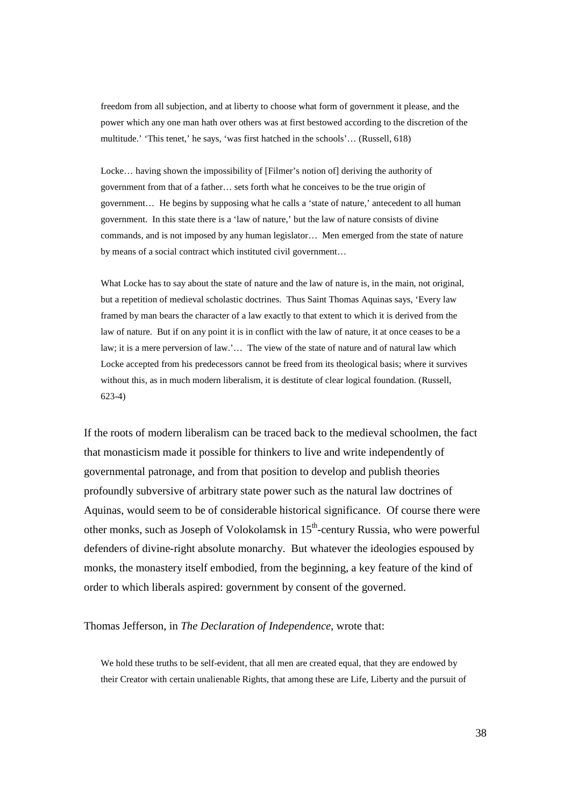freedom from all subjection, and at liberty to choose what form of government it please, and the power which any one man hath over others was at first bestowed according to the discretion of the multitude.' 'This tenet,' he says, 'was first hatched in the schools'… (Russell, 618)

Locke… having shown the impossibility of [Filmer's notion of] deriving the authority of government from that of a father… sets forth what he conceives to be the true origin of government… He begins by supposing what he calls a 'state of nature,' antecedent to all human government. In this state there is a 'law of nature,' but the law of nature consists of divine commands, and is not imposed by any human legislator… Men emerged from the state of nature by means of a social contract which instituted civil government…

What Locke has to say about the state of nature and the law of nature is, in the main, not original, but a repetition of medieval scholastic doctrines. Thus Saint Thomas Aquinas says, 'Every law framed by man bears the character of a law exactly to that extent to which it is derived from the law of nature. But if on any point it is in conflict with the law of nature, it at once ceases to be a law; it is a mere perversion of law.'… The view of the state of nature and of natural law which Locke accepted from his predecessors cannot be freed from its theological basis; where it survives without this, as in much modern liberalism, it is destitute of clear logical foundation. (Russell, 623-4)

If the roots of modern liberalism can be traced back to the medieval schoolmen, the fact that monasticism made it possible for thinkers to live and write independently of governmental patronage, and from that position to develop and publish theories profoundly subversive of arbitrary state power such as the natural law doctrines of Aquinas, would seem to be of considerable historical significance. Of course there were other monks, such as Joseph of Volokolamsk in  $15<sup>th</sup>$ -century Russia, who were powerful defenders of divine-right absolute monarchy. But whatever the ideologies espoused by monks, the monastery itself embodied, from the beginning, a key feature of the kind of order to which liberals aspired: government by consent of the governed.

#### Thomas Jefferson, in *The Declaration of Independence,* wrote that:

We hold these truths to be self-evident, that all men are created equal, that they are endowed by their Creator with certain unalienable Rights, that among these are Life, Liberty and the pursuit of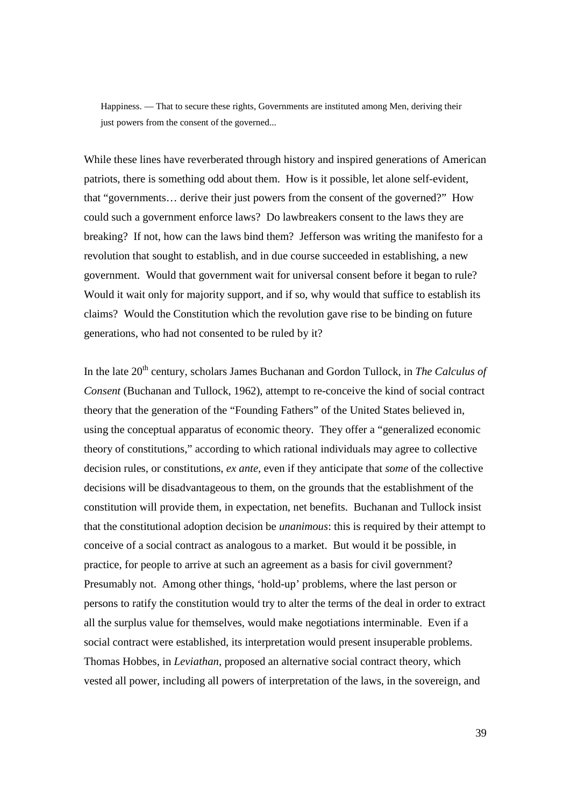Happiness. — That to secure these rights, Governments are instituted among Men, deriving their just powers from the consent of the governed...

While these lines have reverberated through history and inspired generations of American patriots, there is something odd about them. How is it possible, let alone self-evident, that "governments… derive their just powers from the consent of the governed?" How could such a government enforce laws? Do lawbreakers consent to the laws they are breaking? If not, how can the laws bind them? Jefferson was writing the manifesto for a revolution that sought to establish, and in due course succeeded in establishing, a new government. Would that government wait for universal consent before it began to rule? Would it wait only for majority support, and if so, why would that suffice to establish its claims? Would the Constitution which the revolution gave rise to be binding on future generations, who had not consented to be ruled by it?

In the late 20<sup>th</sup> century, scholars James Buchanan and Gordon Tullock, in *The Calculus of Consent* (Buchanan and Tullock, 1962)*,* attempt to re-conceive the kind of social contract theory that the generation of the "Founding Fathers" of the United States believed in, using the conceptual apparatus of economic theory. They offer a "generalized economic theory of constitutions," according to which rational individuals may agree to collective decision rules, or constitutions, *ex ante,* even if they anticipate that *some* of the collective decisions will be disadvantageous to them, on the grounds that the establishment of the constitution will provide them, in expectation, net benefits. Buchanan and Tullock insist that the constitutional adoption decision be *unanimous*: this is required by their attempt to conceive of a social contract as analogous to a market. But would it be possible, in practice, for people to arrive at such an agreement as a basis for civil government? Presumably not. Among other things, 'hold-up' problems, where the last person or persons to ratify the constitution would try to alter the terms of the deal in order to extract all the surplus value for themselves, would make negotiations interminable. Even if a social contract were established, its interpretation would present insuperable problems. Thomas Hobbes, in *Leviathan,* proposed an alternative social contract theory, which vested all power, including all powers of interpretation of the laws, in the sovereign, and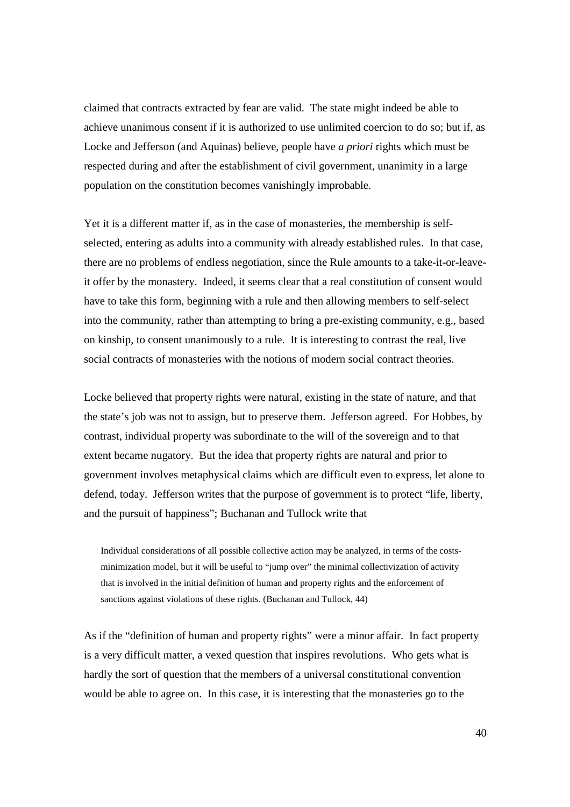claimed that contracts extracted by fear are valid. The state might indeed be able to achieve unanimous consent if it is authorized to use unlimited coercion to do so; but if, as Locke and Jefferson (and Aquinas) believe, people have *a priori* rights which must be respected during and after the establishment of civil government, unanimity in a large population on the constitution becomes vanishingly improbable.

Yet it is a different matter if, as in the case of monasteries, the membership is selfselected, entering as adults into a community with already established rules. In that case, there are no problems of endless negotiation, since the Rule amounts to a take-it-or-leaveit offer by the monastery. Indeed, it seems clear that a real constitution of consent would have to take this form, beginning with a rule and then allowing members to self-select into the community, rather than attempting to bring a pre-existing community, e.g., based on kinship, to consent unanimously to a rule. It is interesting to contrast the real, live social contracts of monasteries with the notions of modern social contract theories.

Locke believed that property rights were natural, existing in the state of nature, and that the state's job was not to assign, but to preserve them. Jefferson agreed. For Hobbes, by contrast, individual property was subordinate to the will of the sovereign and to that extent became nugatory. But the idea that property rights are natural and prior to government involves metaphysical claims which are difficult even to express, let alone to defend, today. Jefferson writes that the purpose of government is to protect "life, liberty, and the pursuit of happiness"; Buchanan and Tullock write that

Individual considerations of all possible collective action may be analyzed, in terms of the costsminimization model, but it will be useful to "jump over" the minimal collectivization of activity that is involved in the initial definition of human and property rights and the enforcement of sanctions against violations of these rights. (Buchanan and Tullock, 44)

As if the "definition of human and property rights" were a minor affair. In fact property is a very difficult matter, a vexed question that inspires revolutions. Who gets what is hardly the sort of question that the members of a universal constitutional convention would be able to agree on. In this case, it is interesting that the monasteries go to the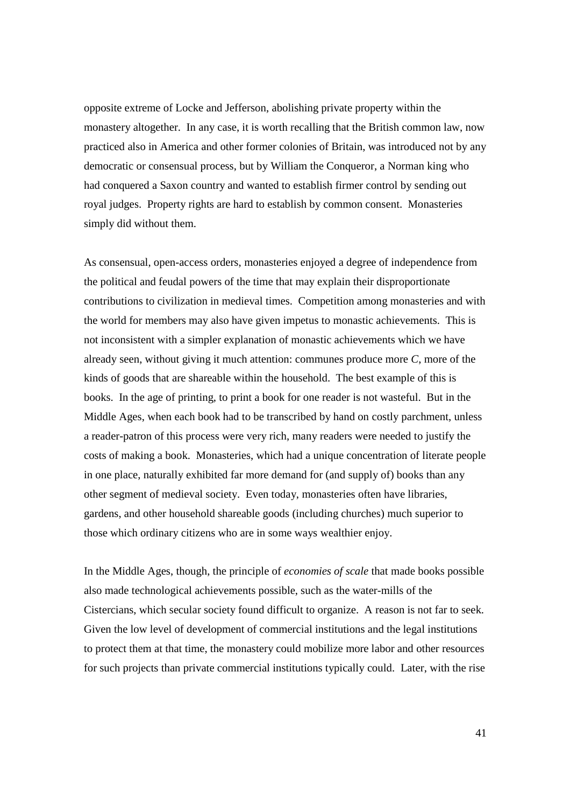opposite extreme of Locke and Jefferson, abolishing private property within the monastery altogether. In any case, it is worth recalling that the British common law, now practiced also in America and other former colonies of Britain, was introduced not by any democratic or consensual process, but by William the Conqueror, a Norman king who had conquered a Saxon country and wanted to establish firmer control by sending out royal judges. Property rights are hard to establish by common consent. Monasteries simply did without them.

As consensual, open-access orders, monasteries enjoyed a degree of independence from the political and feudal powers of the time that may explain their disproportionate contributions to civilization in medieval times. Competition among monasteries and with the world for members may also have given impetus to monastic achievements. This is not inconsistent with a simpler explanation of monastic achievements which we have already seen, without giving it much attention: communes produce more *C*, more of the kinds of goods that are shareable within the household. The best example of this is books. In the age of printing, to print a book for one reader is not wasteful. But in the Middle Ages, when each book had to be transcribed by hand on costly parchment, unless a reader-patron of this process were very rich, many readers were needed to justify the costs of making a book. Monasteries, which had a unique concentration of literate people in one place, naturally exhibited far more demand for (and supply of) books than any other segment of medieval society. Even today, monasteries often have libraries, gardens, and other household shareable goods (including churches) much superior to those which ordinary citizens who are in some ways wealthier enjoy.

In the Middle Ages, though, the principle of *economies of scale* that made books possible also made technological achievements possible, such as the water-mills of the Cistercians, which secular society found difficult to organize. A reason is not far to seek. Given the low level of development of commercial institutions and the legal institutions to protect them at that time, the monastery could mobilize more labor and other resources for such projects than private commercial institutions typically could. Later, with the rise

41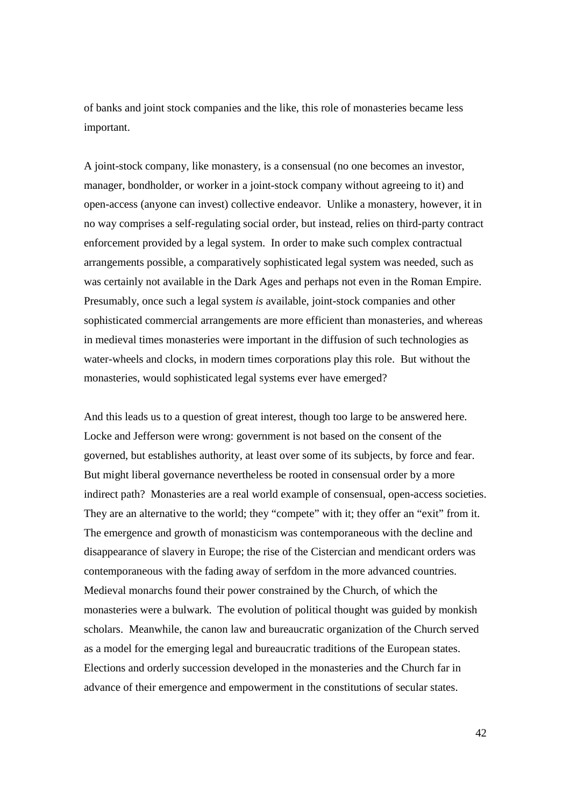of banks and joint stock companies and the like, this role of monasteries became less important.

A joint-stock company, like monastery, is a consensual (no one becomes an investor, manager, bondholder, or worker in a joint-stock company without agreeing to it) and open-access (anyone can invest) collective endeavor. Unlike a monastery, however, it in no way comprises a self-regulating social order, but instead, relies on third-party contract enforcement provided by a legal system. In order to make such complex contractual arrangements possible, a comparatively sophisticated legal system was needed, such as was certainly not available in the Dark Ages and perhaps not even in the Roman Empire. Presumably, once such a legal system *is* available, joint-stock companies and other sophisticated commercial arrangements are more efficient than monasteries, and whereas in medieval times monasteries were important in the diffusion of such technologies as water-wheels and clocks, in modern times corporations play this role. But without the monasteries, would sophisticated legal systems ever have emerged?

And this leads us to a question of great interest, though too large to be answered here. Locke and Jefferson were wrong: government is not based on the consent of the governed, but establishes authority, at least over some of its subjects, by force and fear. But might liberal governance nevertheless be rooted in consensual order by a more indirect path? Monasteries are a real world example of consensual, open-access societies. They are an alternative to the world; they "compete" with it; they offer an "exit" from it. The emergence and growth of monasticism was contemporaneous with the decline and disappearance of slavery in Europe; the rise of the Cistercian and mendicant orders was contemporaneous with the fading away of serfdom in the more advanced countries. Medieval monarchs found their power constrained by the Church, of which the monasteries were a bulwark. The evolution of political thought was guided by monkish scholars. Meanwhile, the canon law and bureaucratic organization of the Church served as a model for the emerging legal and bureaucratic traditions of the European states. Elections and orderly succession developed in the monasteries and the Church far in advance of their emergence and empowerment in the constitutions of secular states.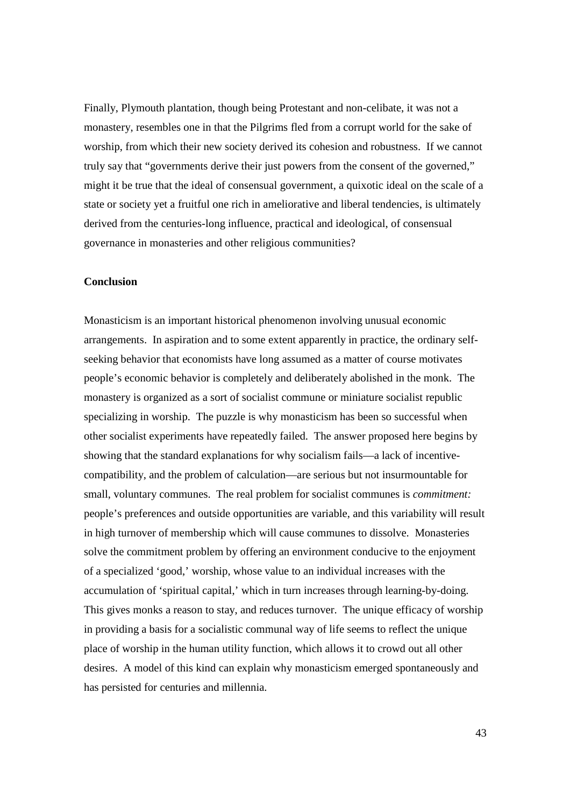Finally, Plymouth plantation, though being Protestant and non-celibate, it was not a monastery, resembles one in that the Pilgrims fled from a corrupt world for the sake of worship, from which their new society derived its cohesion and robustness. If we cannot truly say that "governments derive their just powers from the consent of the governed," might it be true that the ideal of consensual government, a quixotic ideal on the scale of a state or society yet a fruitful one rich in ameliorative and liberal tendencies, is ultimately derived from the centuries-long influence, practical and ideological, of consensual governance in monasteries and other religious communities?

# **Conclusion**

Monasticism is an important historical phenomenon involving unusual economic arrangements. In aspiration and to some extent apparently in practice, the ordinary selfseeking behavior that economists have long assumed as a matter of course motivates people's economic behavior is completely and deliberately abolished in the monk. The monastery is organized as a sort of socialist commune or miniature socialist republic specializing in worship. The puzzle is why monasticism has been so successful when other socialist experiments have repeatedly failed. The answer proposed here begins by showing that the standard explanations for why socialism fails—a lack of incentivecompatibility, and the problem of calculation—are serious but not insurmountable for small, voluntary communes. The real problem for socialist communes is *commitment:*  people's preferences and outside opportunities are variable, and this variability will result in high turnover of membership which will cause communes to dissolve. Monasteries solve the commitment problem by offering an environment conducive to the enjoyment of a specialized 'good,' worship, whose value to an individual increases with the accumulation of 'spiritual capital,' which in turn increases through learning-by-doing. This gives monks a reason to stay, and reduces turnover. The unique efficacy of worship in providing a basis for a socialistic communal way of life seems to reflect the unique place of worship in the human utility function, which allows it to crowd out all other desires. A model of this kind can explain why monasticism emerged spontaneously and has persisted for centuries and millennia.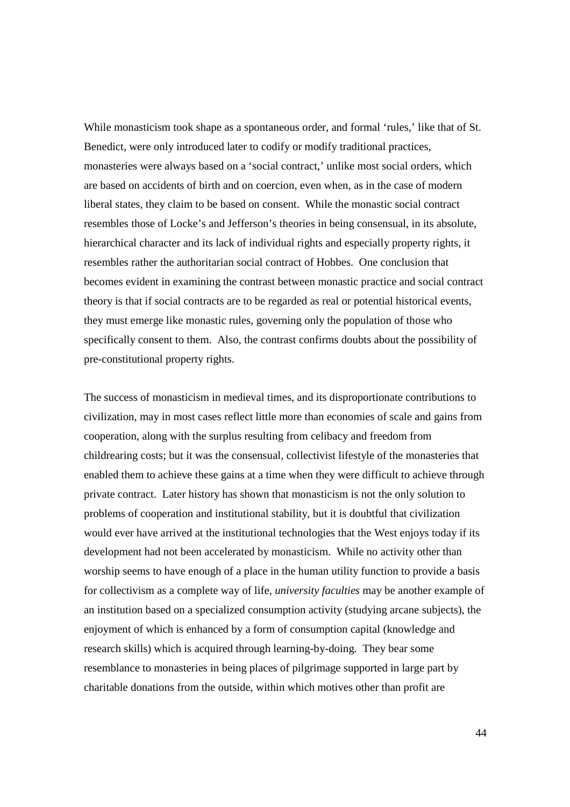While monasticism took shape as a spontaneous order, and formal 'rules,' like that of St. Benedict, were only introduced later to codify or modify traditional practices, monasteries were always based on a 'social contract,' unlike most social orders, which are based on accidents of birth and on coercion, even when, as in the case of modern liberal states, they claim to be based on consent. While the monastic social contract resembles those of Locke's and Jefferson's theories in being consensual, in its absolute, hierarchical character and its lack of individual rights and especially property rights, it resembles rather the authoritarian social contract of Hobbes. One conclusion that becomes evident in examining the contrast between monastic practice and social contract theory is that if social contracts are to be regarded as real or potential historical events, they must emerge like monastic rules, governing only the population of those who specifically consent to them. Also, the contrast confirms doubts about the possibility of pre-constitutional property rights.

The success of monasticism in medieval times, and its disproportionate contributions to civilization, may in most cases reflect little more than economies of scale and gains from cooperation, along with the surplus resulting from celibacy and freedom from childrearing costs; but it was the consensual, collectivist lifestyle of the monasteries that enabled them to achieve these gains at a time when they were difficult to achieve through private contract. Later history has shown that monasticism is not the only solution to problems of cooperation and institutional stability, but it is doubtful that civilization would ever have arrived at the institutional technologies that the West enjoys today if its development had not been accelerated by monasticism. While no activity other than worship seems to have enough of a place in the human utility function to provide a basis for collectivism as a complete way of life, *university faculties* may be another example of an institution based on a specialized consumption activity (studying arcane subjects), the enjoyment of which is enhanced by a form of consumption capital (knowledge and research skills) which is acquired through learning-by-doing. They bear some resemblance to monasteries in being places of pilgrimage supported in large part by charitable donations from the outside, within which motives other than profit are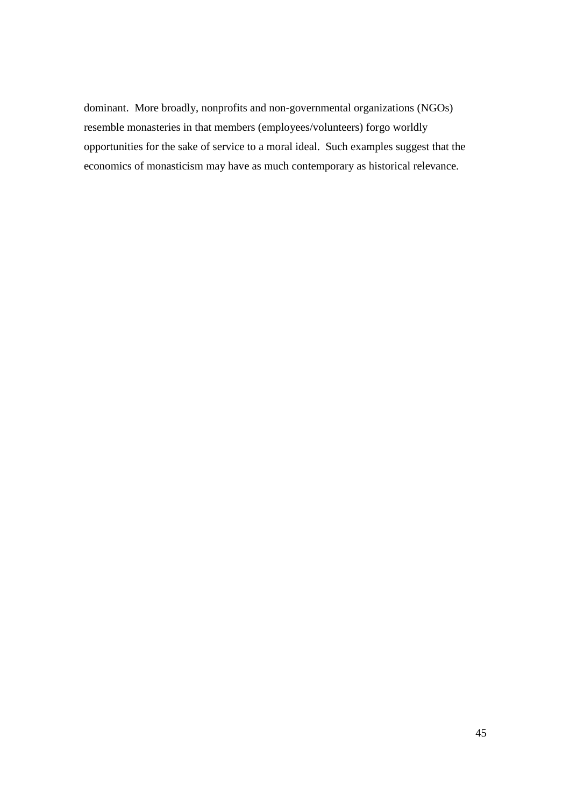dominant. More broadly, nonprofits and non-governmental organizations (NGOs) resemble monasteries in that members (employees/volunteers) forgo worldly opportunities for the sake of service to a moral ideal. Such examples suggest that the economics of monasticism may have as much contemporary as historical relevance.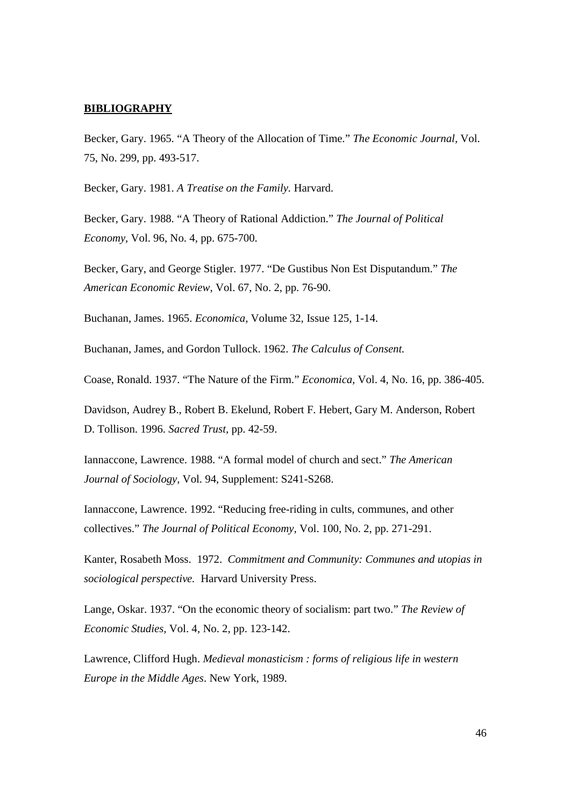# **BIBLIOGRAPHY**

Becker, Gary. 1965. "A Theory of the Allocation of Time." *The Economic Journal,* Vol. 75, No. 299, pp. 493-517.

Becker, Gary. 1981. *A Treatise on the Family.* Harvard.

Becker, Gary. 1988. "A Theory of Rational Addiction." *The Journal of Political Economy,* Vol. 96, No. 4, pp. 675-700.

Becker, Gary, and George Stigler. 1977. "De Gustibus Non Est Disputandum." *The American Economic Review,* Vol. 67, No. 2, pp. 76-90.

Buchanan, James. 1965. *Economica,* Volume 32, Issue 125, 1-14.

Buchanan, James, and Gordon Tullock. 1962. *The Calculus of Consent.*

Coase, Ronald. 1937. "The Nature of the Firm." *Economica,* Vol. 4, No. 16, pp. 386-405.

Davidson, Audrey B., Robert B. Ekelund, Robert F. Hebert, Gary M. Anderson, Robert D. Tollison. 1996. *Sacred Trust,* pp. 42-59.

Iannaccone, Lawrence. 1988. "A formal model of church and sect." *The American Journal of Sociology,* Vol. 94, Supplement: S241-S268.

Iannaccone, Lawrence. 1992. "Reducing free-riding in cults, communes, and other collectives." *The Journal of Political Economy,* Vol. 100, No. 2, pp. 271-291.

Kanter, Rosabeth Moss. 1972. *Commitment and Community: Communes and utopias in sociological perspective.* Harvard University Press.

Lange, Oskar. 1937. "On the economic theory of socialism: part two." *The Review of Economic Studies,* Vol. 4, No. 2, pp. 123-142.

Lawrence, Clifford Hugh. *Medieval monasticism : forms of religious life in western Europe in the Middle Ages*. New York, 1989.